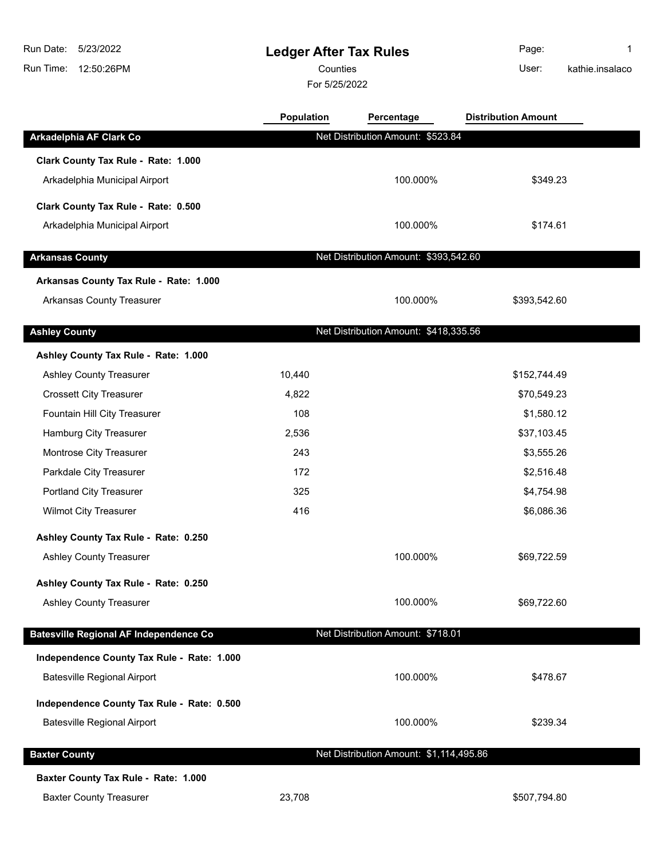# **Ledger After Tax Rules**

Counties **Counties** User:

For 5/25/2022

Page: 1 kathie.insalaco

|                                               | Population | Percentage                              | <b>Distribution Amount</b> |  |
|-----------------------------------------------|------------|-----------------------------------------|----------------------------|--|
| Arkadelphia AF Clark Co                       |            | Net Distribution Amount: \$523.84       |                            |  |
| Clark County Tax Rule - Rate: 1.000           |            |                                         |                            |  |
| Arkadelphia Municipal Airport                 |            | 100.000%                                | \$349.23                   |  |
| Clark County Tax Rule - Rate: 0.500           |            |                                         |                            |  |
| Arkadelphia Municipal Airport                 |            | 100.000%                                | \$174.61                   |  |
|                                               |            |                                         |                            |  |
| <b>Arkansas County</b>                        |            | Net Distribution Amount: \$393,542.60   |                            |  |
| Arkansas County Tax Rule - Rate: 1.000        |            |                                         |                            |  |
| <b>Arkansas County Treasurer</b>              |            | 100.000%                                | \$393,542.60               |  |
| <b>Ashley County</b>                          |            | Net Distribution Amount: \$418,335.56   |                            |  |
| Ashley County Tax Rule - Rate: 1.000          |            |                                         |                            |  |
| <b>Ashley County Treasurer</b>                | 10,440     |                                         | \$152,744.49               |  |
| <b>Crossett City Treasurer</b>                | 4,822      |                                         | \$70,549.23                |  |
| Fountain Hill City Treasurer                  | 108        |                                         | \$1,580.12                 |  |
| Hamburg City Treasurer                        | 2,536      |                                         | \$37,103.45                |  |
| Montrose City Treasurer                       | 243        |                                         | \$3,555.26                 |  |
| Parkdale City Treasurer                       | 172        |                                         | \$2,516.48                 |  |
| Portland City Treasurer                       | 325        |                                         | \$4,754.98                 |  |
| <b>Wilmot City Treasurer</b>                  | 416        |                                         | \$6,086.36                 |  |
| Ashley County Tax Rule - Rate: 0.250          |            |                                         |                            |  |
| <b>Ashley County Treasurer</b>                |            | 100.000%                                | \$69,722.59                |  |
| Ashley County Tax Rule - Rate: 0.250          |            |                                         |                            |  |
| <b>Ashley County Treasurer</b>                |            | 100.000%                                | \$69,722.60                |  |
| <b>Batesville Regional AF Independence Co</b> |            | Net Distribution Amount: \$718.01       |                            |  |
| Independence County Tax Rule - Rate: 1.000    |            |                                         |                            |  |
| <b>Batesville Regional Airport</b>            |            | 100.000%                                | \$478.67                   |  |
|                                               |            |                                         |                            |  |
| Independence County Tax Rule - Rate: 0.500    |            |                                         |                            |  |
| <b>Batesville Regional Airport</b>            |            | 100.000%                                | \$239.34                   |  |
| <b>Baxter County</b>                          |            | Net Distribution Amount: \$1,114,495.86 |                            |  |
| Baxter County Tax Rule - Rate: 1.000          |            |                                         |                            |  |
| <b>Baxter County Treasurer</b>                | 23,708     |                                         | \$507,794.80               |  |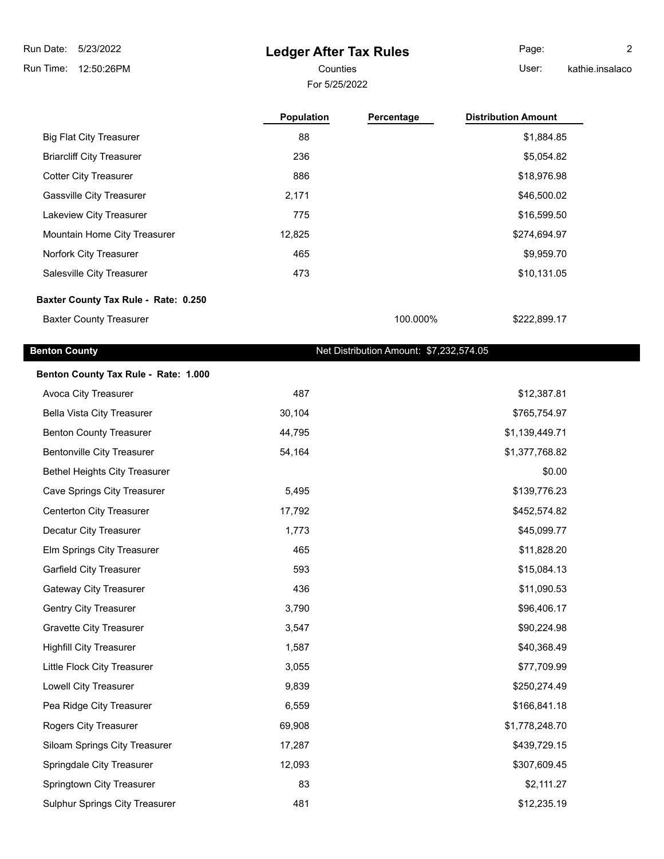## **Ledger After Tax Rules**

For 5/25/2022 Counties **Counties** User:

Page: 2 kathie.insalaco

|                                      | <b>Population</b> | Percentage | <b>Distribution Amount</b> |
|--------------------------------------|-------------------|------------|----------------------------|
| <b>Big Flat City Treasurer</b>       | 88                |            | \$1,884.85                 |
| <b>Briarcliff City Treasurer</b>     | 236               |            | \$5,054.82                 |
| <b>Cotter City Treasurer</b>         | 886               |            | \$18,976.98                |
| <b>Gassville City Treasurer</b>      | 2,171             |            | \$46,500.02                |
| Lakeview City Treasurer              | 775               |            | \$16,599.50                |
| Mountain Home City Treasurer         | 12,825            |            | \$274,694.97               |
| Norfork City Treasurer               | 465               |            | \$9,959.70                 |
| Salesville City Treasurer            | 473               |            | \$10,131.05                |
| Baxter County Tax Rule - Rate: 0.250 |                   |            |                            |
| <b>Baxter County Treasurer</b>       |                   | 100.000%   | \$222.899.17               |

### **Benton County Benton County Net Distribution Amount: \$7,232,574.05**

| Benton County Tax Rule - Rate: 1.000  |        |                |
|---------------------------------------|--------|----------------|
| Avoca City Treasurer                  | 487    | \$12,387.81    |
| <b>Bella Vista City Treasurer</b>     | 30,104 | \$765,754.97   |
| <b>Benton County Treasurer</b>        | 44,795 | \$1,139,449.71 |
| <b>Bentonville City Treasurer</b>     | 54,164 | \$1,377,768.82 |
| <b>Bethel Heights City Treasurer</b>  |        | \$0.00         |
| <b>Cave Springs City Treasurer</b>    | 5,495  | \$139,776.23   |
| Centerton City Treasurer              | 17,792 | \$452,574.82   |
| Decatur City Treasurer                | 1,773  | \$45,099.77    |
| Elm Springs City Treasurer            | 465    | \$11,828.20    |
| <b>Garfield City Treasurer</b>        | 593    | \$15,084.13    |
| Gateway City Treasurer                | 436    | \$11,090.53    |
| <b>Gentry City Treasurer</b>          | 3,790  | \$96,406.17    |
| <b>Gravette City Treasurer</b>        | 3,547  | \$90,224.98    |
| <b>Highfill City Treasurer</b>        | 1,587  | \$40,368.49    |
| Little Flock City Treasurer           | 3,055  | \$77,709.99    |
| Lowell City Treasurer                 | 9,839  | \$250,274.49   |
| Pea Ridge City Treasurer              | 6,559  | \$166,841.18   |
| Rogers City Treasurer                 | 69,908 | \$1,778,248.70 |
| Siloam Springs City Treasurer         | 17,287 | \$439,729.15   |
| Springdale City Treasurer             | 12,093 | \$307,609.45   |
| Springtown City Treasurer             | 83     | \$2,111.27     |
| <b>Sulphur Springs City Treasurer</b> | 481    | \$12,235.19    |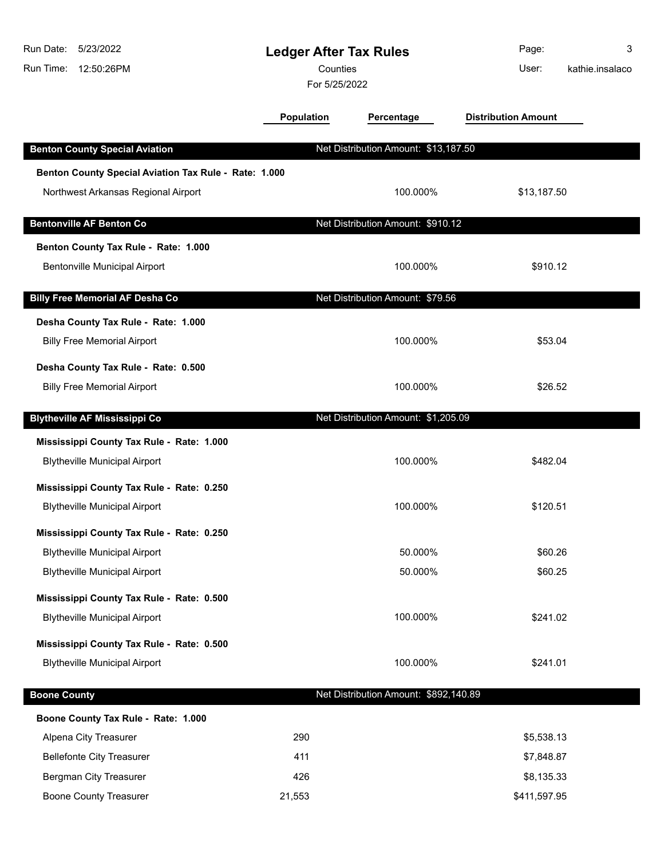| Run Date:<br>Run Time: | 5/23/2022<br>12:50:26PM                               | <b>Ledger After Tax Rules</b><br>Counties<br>For 5/25/2022 |                                       | Page:<br>User:             | 3<br>kathie.insalaco |
|------------------------|-------------------------------------------------------|------------------------------------------------------------|---------------------------------------|----------------------------|----------------------|
|                        |                                                       | <b>Population</b>                                          | Percentage                            | <b>Distribution Amount</b> |                      |
|                        | <b>Benton County Special Aviation</b>                 |                                                            | Net Distribution Amount: \$13,187.50  |                            |                      |
|                        | Benton County Special Aviation Tax Rule - Rate: 1.000 |                                                            |                                       |                            |                      |
|                        | Northwest Arkansas Regional Airport                   |                                                            | 100.000%                              | \$13,187.50                |                      |
|                        | <b>Bentonville AF Benton Co</b>                       |                                                            | Net Distribution Amount: \$910.12     |                            |                      |
|                        | Benton County Tax Rule - Rate: 1.000                  |                                                            |                                       |                            |                      |
|                        | <b>Bentonville Municipal Airport</b>                  |                                                            | 100.000%                              | \$910.12                   |                      |
|                        | <b>Billy Free Memorial AF Desha Co</b>                |                                                            | Net Distribution Amount: \$79.56      |                            |                      |
|                        | Desha County Tax Rule - Rate: 1.000                   |                                                            |                                       |                            |                      |
|                        | <b>Billy Free Memorial Airport</b>                    |                                                            | 100.000%                              | \$53.04                    |                      |
|                        | Desha County Tax Rule - Rate: 0.500                   |                                                            |                                       |                            |                      |
|                        | <b>Billy Free Memorial Airport</b>                    |                                                            | 100.000%                              | \$26.52                    |                      |
|                        | <b>Blytheville AF Mississippi Co</b>                  |                                                            | Net Distribution Amount: \$1,205.09   |                            |                      |
|                        | Mississippi County Tax Rule - Rate: 1.000             |                                                            |                                       |                            |                      |
|                        | <b>Blytheville Municipal Airport</b>                  |                                                            | 100.000%                              | \$482.04                   |                      |
|                        | Mississippi County Tax Rule - Rate: 0.250             |                                                            |                                       |                            |                      |
|                        | <b>Blytheville Municipal Airport</b>                  |                                                            | 100.000%                              | \$120.51                   |                      |
|                        | Mississippi County Tax Rule - Rate: 0.250             |                                                            |                                       |                            |                      |
|                        | <b>Blytheville Municipal Airport</b>                  |                                                            | 50.000%                               | \$60.26                    |                      |
|                        | <b>Blytheville Municipal Airport</b>                  |                                                            | 50.000%                               | \$60.25                    |                      |
|                        | Mississippi County Tax Rule - Rate: 0.500             |                                                            |                                       |                            |                      |
|                        | <b>Blytheville Municipal Airport</b>                  |                                                            | 100.000%                              | \$241.02                   |                      |
|                        | Mississippi County Tax Rule - Rate: 0.500             |                                                            |                                       |                            |                      |
|                        | <b>Blytheville Municipal Airport</b>                  |                                                            | 100.000%                              | \$241.01                   |                      |
| <b>Boone County</b>    |                                                       |                                                            | Net Distribution Amount: \$892,140.89 |                            |                      |
|                        | Boone County Tax Rule - Rate: 1.000                   |                                                            |                                       |                            |                      |
|                        | Alpena City Treasurer                                 | 290                                                        |                                       | \$5,538.13                 |                      |
|                        | <b>Bellefonte City Treasurer</b>                      | 411                                                        |                                       | \$7,848.87                 |                      |
|                        | <b>Bergman City Treasurer</b>                         | 426                                                        |                                       | \$8,135.33                 |                      |
|                        | <b>Boone County Treasurer</b>                         | 21,553                                                     |                                       | \$411,597.95               |                      |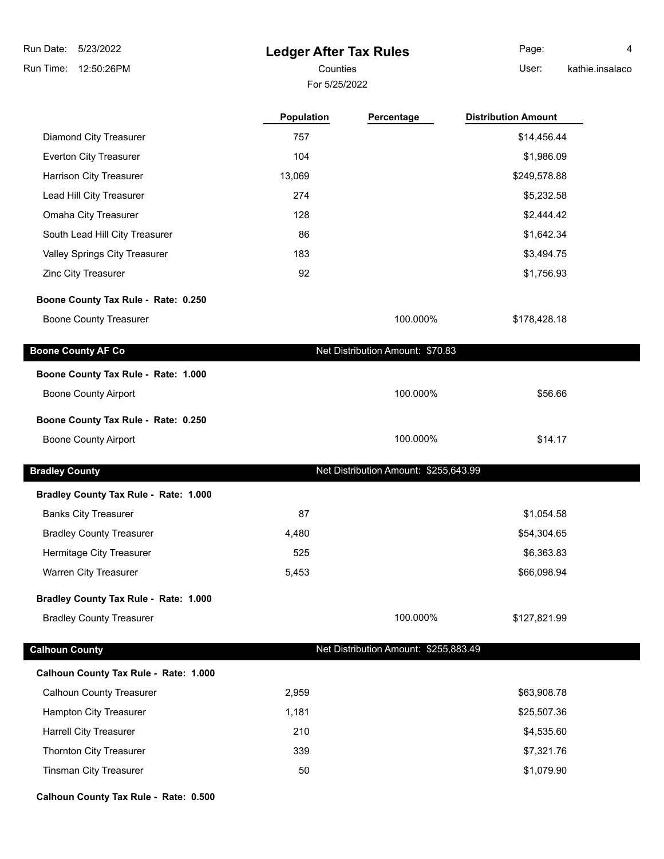# **Ledger After Tax Rules**

For 5/25/2022

Counties User: Page: 4

|  | kathie.insalaco |  |
|--|-----------------|--|
|  |                 |  |
|  |                 |  |
|  |                 |  |
|  |                 |  |

|                                       | <b>Population</b> | Percentage                            | <b>Distribution Amount</b> |  |
|---------------------------------------|-------------------|---------------------------------------|----------------------------|--|
| <b>Diamond City Treasurer</b>         | 757               |                                       | \$14,456.44                |  |
| Everton City Treasurer                | 104               |                                       | \$1,986.09                 |  |
| Harrison City Treasurer               | 13,069            |                                       | \$249,578.88               |  |
| Lead Hill City Treasurer              | 274               |                                       | \$5,232.58                 |  |
| Omaha City Treasurer                  | 128               |                                       | \$2,444.42                 |  |
| South Lead Hill City Treasurer        | 86                |                                       | \$1,642.34                 |  |
| Valley Springs City Treasurer         | 183               |                                       | \$3,494.75                 |  |
| Zinc City Treasurer                   | 92                |                                       | \$1,756.93                 |  |
| Boone County Tax Rule - Rate: 0.250   |                   |                                       |                            |  |
| <b>Boone County Treasurer</b>         |                   | 100.000%                              | \$178,428.18               |  |
| <b>Boone County AF Co</b>             |                   | Net Distribution Amount: \$70.83      |                            |  |
| Boone County Tax Rule - Rate: 1.000   |                   |                                       |                            |  |
| <b>Boone County Airport</b>           |                   | 100.000%                              | \$56.66                    |  |
| Boone County Tax Rule - Rate: 0.250   |                   |                                       |                            |  |
| <b>Boone County Airport</b>           |                   | 100.000%                              | \$14.17                    |  |
|                                       |                   |                                       |                            |  |
| <b>Bradley County</b>                 |                   | Net Distribution Amount: \$255,643.99 |                            |  |
| Bradley County Tax Rule - Rate: 1.000 |                   |                                       |                            |  |
| <b>Banks City Treasurer</b>           | 87                |                                       | \$1,054.58                 |  |
| <b>Bradley County Treasurer</b>       | 4,480             |                                       | \$54,304.65                |  |
| Hermitage City Treasurer              | 525               |                                       | \$6,363.83                 |  |
| Warren City Treasurer                 | 5,453             |                                       | \$66,098.94                |  |
| Bradley County Tax Rule - Rate: 1.000 |                   |                                       |                            |  |
| <b>Bradley County Treasurer</b>       |                   | 100.000%                              | \$127,821.99               |  |
| <b>Calhoun County</b>                 |                   | Net Distribution Amount: \$255,883.49 |                            |  |
| Calhoun County Tax Rule - Rate: 1.000 |                   |                                       |                            |  |
| <b>Calhoun County Treasurer</b>       | 2,959             |                                       | \$63,908.78                |  |
| Hampton City Treasurer                | 1,181             |                                       | \$25,507.36                |  |
| <b>Harrell City Treasurer</b>         | 210               |                                       | \$4,535.60                 |  |
| Thornton City Treasurer               | 339               |                                       | \$7,321.76                 |  |
| Tinsman City Treasurer                | 50                |                                       | \$1,079.90                 |  |

**Calhoun County Tax Rule - Rate: 0.500**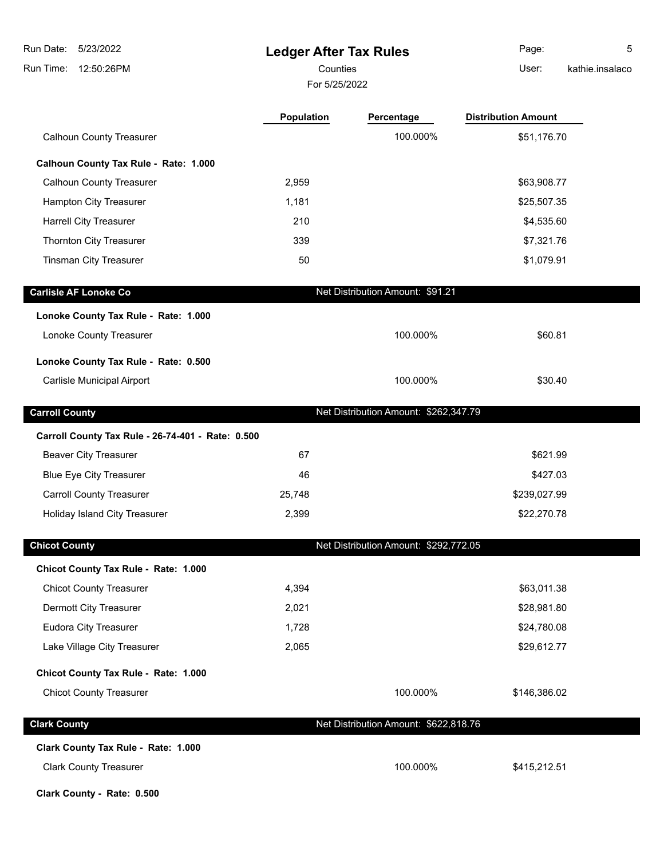**Ledger After Tax Rules** Run Time: 12:50:26PM 5/23/2022 Run Date: For 5/25/2022 Counties **Counties** User: Page: 5 kathie.insalaco **Population Percentage Distribution Amount** Calhoun County Treasurer **100.000%** \$51,176.70 **Calhoun County Tax Rule - Rate: 1.000** Calhoun County Treasurer 2,959 **2,959** \$63,908.77 Hampton City Treasurer 1,181 **\$25,507.35** \$25,507.35 Harrell City Treasurer 210 210 \$4,535.60 Thornton City Treasurer 339 \$7,321.76 Tinsman City Treasurer 50 \$1,079.91 **Carlisle AF Lonoke Co Concrete AF Lonoke Co Net Distribution Amount: \$91.21 Lonoke County Tax Rule - Rate: 1.000** Lonoke County Treasurer 100.000% \$60.81 **Lonoke County Tax Rule - Rate: 0.500** Carlisle Municipal Airport 100.000% \$30.40 **Carroll County Carroll County Carroll County Carroll County Carroll County Carroll County Carroll County Carroll County Carroll County Carroll County County Amount: \$262,347.79 Carroll County Tax Rule - 26-74-401 - Rate: 0.500** Beaver City Treasurer 67 \$621.99 \$621.99 Blue Eye City Treasurer and the control of the 46  $\,$  46  $\,$  46  $\,$  427.03  $\,$ Carroll County Treasurer 25,748 \$239,027.99 Holiday Island City Treasurer 2,399 **322,270.78 \$22,270.78 Chicot County Chicot County Chicot County Chicot County Chicot County Chicot County Chicot County Chicot County Chicot County Chicot County Chicot County Chicot County County County Chicot County Tax Rule - Rate: 1.000** Chicot County Treasurer 1988 and the county of the county of the county of the county of the county of the county of the county of the county of the county of the county of the county of the county of the county of the cou Dermott City Treasurer 2,021 \$28,981.80 Eudora City Treasurer 1,728 **\$24,780.08** \$24,780.08 Lake Village City Treasurer 1980 1990 1990 1990 2,065 1990 1990 1991 1992 1994 1999 1990 1991 1992 1998 1999 1 **Chicot County Tax Rule - Rate: 1.000** Chicot County Treasurer **100.000%** \$146,386.02 **Clark County Clark County Net Distribution Amount: \$622,818.76 Clark County Tax Rule - Rate: 1.000** Clark County Treasurer 100.000% \$415,212.51

**Clark County - Rate: 0.500**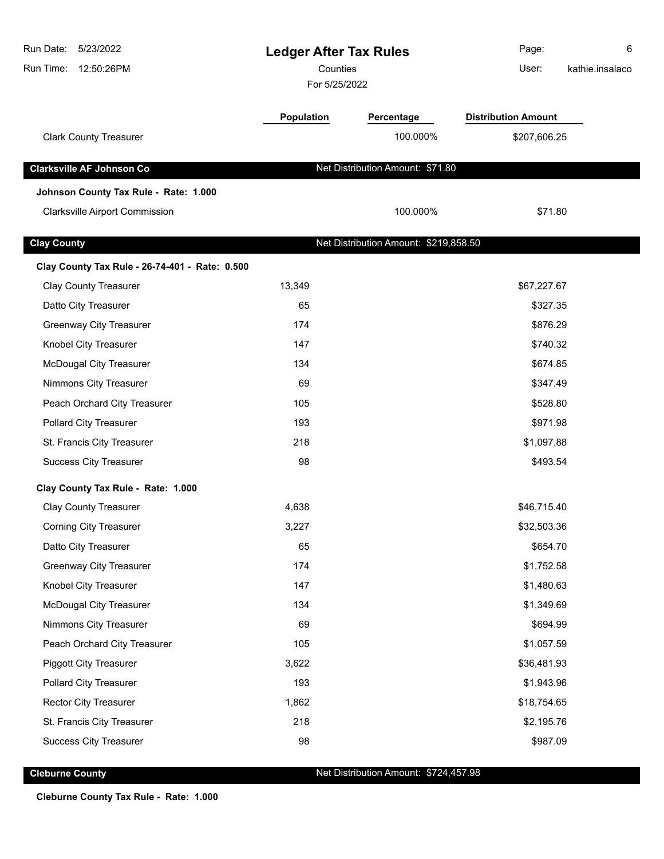| Run Date:<br>5/23/2022<br>Run Time:<br>12:50:26PM | <b>Ledger After Tax Rules</b><br>Counties<br>For 5/25/2022 |                                       | Page:<br>User:             | 6<br>kathie.insalaco |
|---------------------------------------------------|------------------------------------------------------------|---------------------------------------|----------------------------|----------------------|
|                                                   | Population                                                 | Percentage                            | <b>Distribution Amount</b> |                      |
| <b>Clark County Treasurer</b>                     |                                                            | 100.000%                              | \$207,606.25               |                      |
| <b>Clarksville AF Johnson Co</b>                  |                                                            | Net Distribution Amount: \$71.80      |                            |                      |
| Johnson County Tax Rule - Rate: 1.000             |                                                            |                                       |                            |                      |
| <b>Clarksville Airport Commission</b>             |                                                            | 100.000%                              | \$71.80                    |                      |
| <b>Clay County</b>                                |                                                            | Net Distribution Amount: \$219,858.50 |                            |                      |
| Clay County Tax Rule - 26-74-401 - Rate: 0.500    |                                                            |                                       |                            |                      |
| <b>Clay County Treasurer</b>                      | 13,349                                                     |                                       | \$67,227.67                |                      |
| Datto City Treasurer                              | 65                                                         |                                       | \$327.35                   |                      |
| <b>Greenway City Treasurer</b>                    | 174                                                        |                                       | \$876.29                   |                      |
| Knobel City Treasurer                             | 147                                                        |                                       | \$740.32                   |                      |
| <b>McDougal City Treasurer</b>                    | 134                                                        |                                       | \$674.85                   |                      |
| Nimmons City Treasurer                            | 69                                                         |                                       | \$347.49                   |                      |
| Peach Orchard City Treasurer                      | 105                                                        |                                       | \$528.80                   |                      |
| Pollard City Treasurer                            | 193                                                        |                                       | \$971.98                   |                      |
| St. Francis City Treasurer                        | 218                                                        |                                       | \$1,097.88                 |                      |
| <b>Success City Treasurer</b>                     | 98                                                         |                                       | \$493.54                   |                      |
| Clay County Tax Rule - Rate: 1.000                |                                                            |                                       |                            |                      |
| <b>Clay County Treasurer</b>                      | 4,638                                                      |                                       | \$46,715.40                |                      |
| <b>Corning City Treasurer</b>                     | 3,227                                                      |                                       | \$32,503.36                |                      |
| Datto City Treasurer                              | 65                                                         |                                       | \$654.70                   |                      |
| <b>Greenway City Treasurer</b>                    | 174                                                        |                                       | \$1,752.58                 |                      |
| Knobel City Treasurer                             | 147                                                        |                                       | \$1,480.63                 |                      |
| <b>McDougal City Treasurer</b>                    | 134                                                        |                                       | \$1,349.69                 |                      |
| Nimmons City Treasurer                            | 69                                                         |                                       | \$694.99                   |                      |
| Peach Orchard City Treasurer                      | 105                                                        |                                       | \$1,057.59                 |                      |
| <b>Piggott City Treasurer</b>                     | 3,622                                                      |                                       | \$36,481.93                |                      |
| Pollard City Treasurer                            | 193                                                        |                                       | \$1,943.96                 |                      |
| <b>Rector City Treasurer</b>                      | 1,862                                                      |                                       | \$18,754.65                |                      |
| St. Francis City Treasurer                        | 218                                                        |                                       | \$2,195.76                 |                      |
| <b>Success City Treasurer</b>                     | 98                                                         |                                       | \$987.09                   |                      |

**Cleburne County Cleburne County Net Distribution Amount: \$724,457.98** 

**Cleburne County Tax Rule - Rate: 1.000**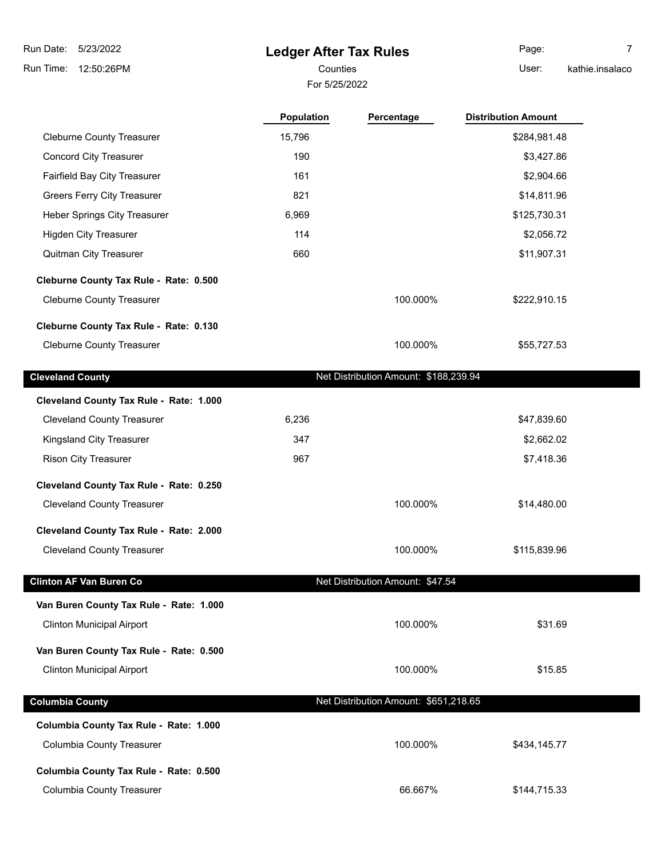#### **Ledger After Tax Rules**

For 5/25/2022

Cleburne County Treasurer 15,796 \$284,981.48

Page: 7

Counties **Counties** User:

kathie.insalaco

| <b>Cleveland County</b>                |       | Net Distribution Amount: \$188,239.94 |              |
|----------------------------------------|-------|---------------------------------------|--------------|
|                                        |       |                                       |              |
| <b>Cleburne County Treasurer</b>       |       | 100.000%                              | \$55,727.53  |
| Cleburne County Tax Rule - Rate: 0.130 |       |                                       |              |
| <b>Cleburne County Treasurer</b>       |       | 100.000%                              | \$222,910.15 |
| Cleburne County Tax Rule - Rate: 0.500 |       |                                       |              |
| <b>Quitman City Treasurer</b>          | 660   |                                       | \$11,907.31  |
| <b>Higden City Treasurer</b>           | 114   |                                       | \$2,056.72   |
| Heber Springs City Treasurer           | 6,969 |                                       | \$125,730.31 |
| <b>Greers Ferry City Treasurer</b>     | 821   |                                       | \$14,811.96  |
| <b>Fairfield Bay City Treasurer</b>    | 161   |                                       | \$2,904.66   |
| <b>Concord City Treasurer</b>          | 190   |                                       | \$3,427.86   |

**Population Percentage Distribution Amount**

| Cleveland County Tax Rule - Rate: 1.000 |       |          |             |
|-----------------------------------------|-------|----------|-------------|
| <b>Cleveland County Treasurer</b>       | 6,236 |          | \$47,839.60 |
| Kingsland City Treasurer                | 347   |          | \$2,662.02  |
| <b>Rison City Treasurer</b>             | 967   |          | \$7,418.36  |
| Cleveland County Tax Rule - Rate: 0.250 |       |          |             |
| <b>Cleveland County Treasurer</b>       |       | 100.000% | \$14,480.00 |
| Cleveland County Tax Rule - Rate: 2.000 |       |          |             |

Cleveland County Treasurer 100.000% \$115,839.96 **Clinton AF Van Buren Co** Net Distribution Amount: \$47.54 **Van Buren County Tax Rule - Rate: 1.000** Clinton Municipal Airport 100.000% \$31.69 **Van Buren County Tax Rule - Rate: 0.500** Clinton Municipal Airport 100.000% \$15.85 **Columbia County Columbia County Columbia County Net Distribution Amount:** \$651,218.65 **Columbia County Tax Rule - Rate: 1.000** Columbia County Treasurer **100.000%** \$434,145.77 **Columbia County Tax Rule - Rate: 0.500** Columbia County Treasurer **66.667%** \$144,715.33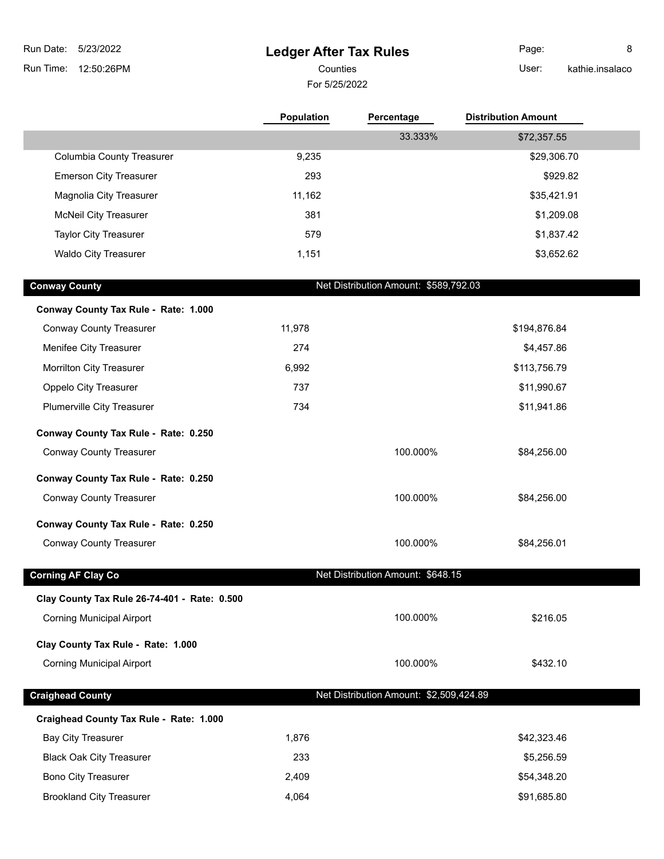# **Ledger After Tax Rules**

For 5/25/2022

Counties **Counties** User: Page: 8

kathie.insalaco

|                                              | Population | Percentage                              | <b>Distribution Amount</b> |
|----------------------------------------------|------------|-----------------------------------------|----------------------------|
|                                              |            | 33.333%                                 | \$72,357.55                |
| <b>Columbia County Treasurer</b>             | 9,235      |                                         | \$29,306.70                |
| <b>Emerson City Treasurer</b>                | 293        |                                         | \$929.82                   |
| Magnolia City Treasurer                      | 11,162     |                                         | \$35,421.91                |
| <b>McNeil City Treasurer</b>                 | 381        |                                         | \$1,209.08                 |
| <b>Taylor City Treasurer</b>                 | 579        |                                         | \$1,837.42                 |
| <b>Waldo City Treasurer</b>                  | 1,151      |                                         | \$3,652.62                 |
| <b>Conway County</b>                         |            | Net Distribution Amount: \$589,792.03   |                            |
| Conway County Tax Rule - Rate: 1.000         |            |                                         |                            |
| <b>Conway County Treasurer</b>               | 11,978     |                                         | \$194,876.84               |
| Menifee City Treasurer                       | 274        |                                         | \$4,457.86                 |
| Morrilton City Treasurer                     | 6,992      |                                         | \$113,756.79               |
| Oppelo City Treasurer                        | 737        |                                         | \$11,990.67                |
| Plumerville City Treasurer                   | 734        |                                         | \$11,941.86                |
| Conway County Tax Rule - Rate: 0.250         |            |                                         |                            |
| <b>Conway County Treasurer</b>               |            | 100.000%                                | \$84,256.00                |
| Conway County Tax Rule - Rate: 0.250         |            |                                         |                            |
| <b>Conway County Treasurer</b>               |            | 100.000%                                | \$84,256.00                |
| Conway County Tax Rule - Rate: 0.250         |            |                                         |                            |
| <b>Conway County Treasurer</b>               |            | 100.000%                                | \$84,256.01                |
| <b>Corning AF Clay Co</b>                    |            | Net Distribution Amount: \$648.15       |                            |
| Clay County Tax Rule 26-74-401 - Rate: 0.500 |            |                                         |                            |
| <b>Corning Municipal Airport</b>             |            | 100.000%                                | \$216.05                   |
| Clay County Tax Rule - Rate: 1.000           |            |                                         |                            |
| <b>Corning Municipal Airport</b>             |            | 100.000%                                | \$432.10                   |
| <b>Craighead County</b>                      |            | Net Distribution Amount: \$2,509,424.89 |                            |
| Craighead County Tax Rule - Rate: 1.000      |            |                                         |                            |
| <b>Bay City Treasurer</b>                    | 1,876      |                                         | \$42,323.46                |
| <b>Black Oak City Treasurer</b>              | 233        |                                         | \$5,256.59                 |
| <b>Bono City Treasurer</b>                   | 2,409      |                                         | \$54,348.20                |
| <b>Brookland City Treasurer</b>              | 4,064      |                                         | \$91,685.80                |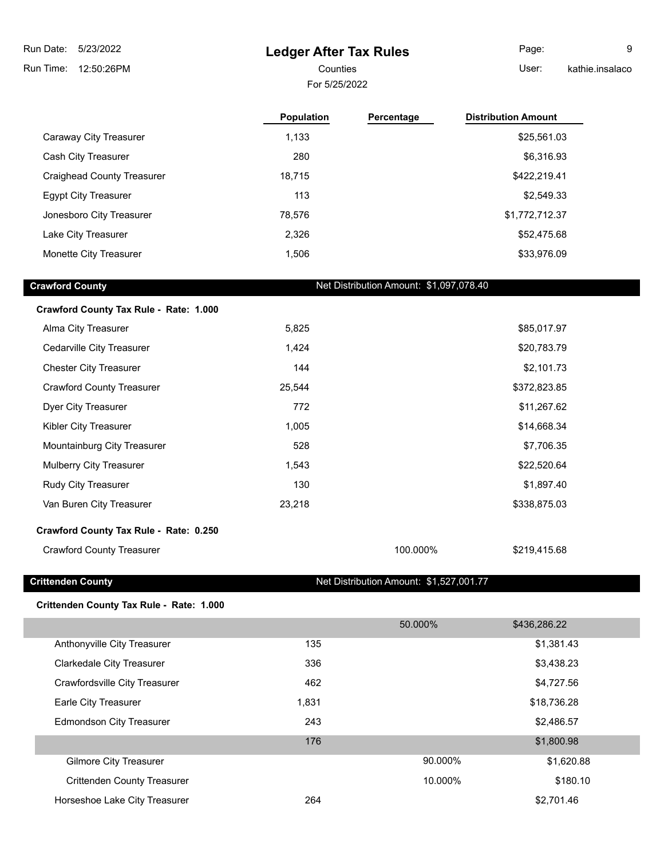### **Ledger After Tax Rules**

For 5/25/2022

Page: 9

Counties User: kathie.insalaco

|                                        | <b>Population</b> | Percentage                              | <b>Distribution Amount</b> |
|----------------------------------------|-------------------|-----------------------------------------|----------------------------|
| Caraway City Treasurer                 | 1,133             |                                         | \$25,561.03                |
| Cash City Treasurer                    | 280               |                                         | \$6,316.93                 |
| <b>Craighead County Treasurer</b>      | 18,715            |                                         | \$422,219.41               |
| <b>Egypt City Treasurer</b>            | 113               |                                         | \$2,549.33                 |
| Jonesboro City Treasurer               | 78,576            |                                         | \$1,772,712.37             |
| Lake City Treasurer                    | 2,326             |                                         | \$52,475.68                |
| Monette City Treasurer                 | 1,506             |                                         | \$33,976.09                |
|                                        |                   |                                         |                            |
| <b>Crawford County</b>                 |                   | Net Distribution Amount: \$1,097,078.40 |                            |
| Crawford County Tax Rule - Rate: 1.000 |                   |                                         |                            |
| Alma City Treasurer                    | 5,825             |                                         | \$85,017.97                |
| Cedarville City Treasurer              | 1,424             |                                         | \$20,783.79                |
| <b>Chester City Treasurer</b>          | 144               |                                         | \$2,101.73                 |
| <b>Crawford County Treasurer</b>       | 25,544            |                                         | \$372,823.85               |
| Dyer City Treasurer                    | 772               |                                         | \$11,267.62                |

Kibler City Treasurer **1,005** \$14,668.34 Mountainburg City Treasurer 1988 528 \$7,706.35 Mulberry City Treasurer 1,543 **\$22,520.64** \$22,520.64 Rudy City Treasurer **130** \$1,897.40 Van Buren City Treasurer 1988 1991 123,218 123,218 \$338,875.03

Crawford County Treasurer 100.000% \$219,415.68

**Crittenden County** Crittenden County **Net Distribution Amount: \$1,527,001.77** 

#### **Crittenden County Tax Rule - Rate: 1.000**

**Crawford County Tax Rule - Rate: 0.250**

|                                    |       | 50.000% | \$436,286.22 |
|------------------------------------|-------|---------|--------------|
| Anthonyville City Treasurer        | 135   |         | \$1,381.43   |
| <b>Clarkedale City Treasurer</b>   | 336   |         | \$3,438.23   |
| Crawfordsville City Treasurer      | 462   |         | \$4,727.56   |
| Earle City Treasurer               | 1,831 |         | \$18,736.28  |
| <b>Edmondson City Treasurer</b>    | 243   |         | \$2,486.57   |
|                                    | 176   |         | \$1,800.98   |
| <b>Gilmore City Treasurer</b>      |       | 90.000% | \$1,620.88   |
| <b>Crittenden County Treasurer</b> |       | 10.000% | \$180.10     |
| Horseshoe Lake City Treasurer      | 264   |         | \$2,701.46   |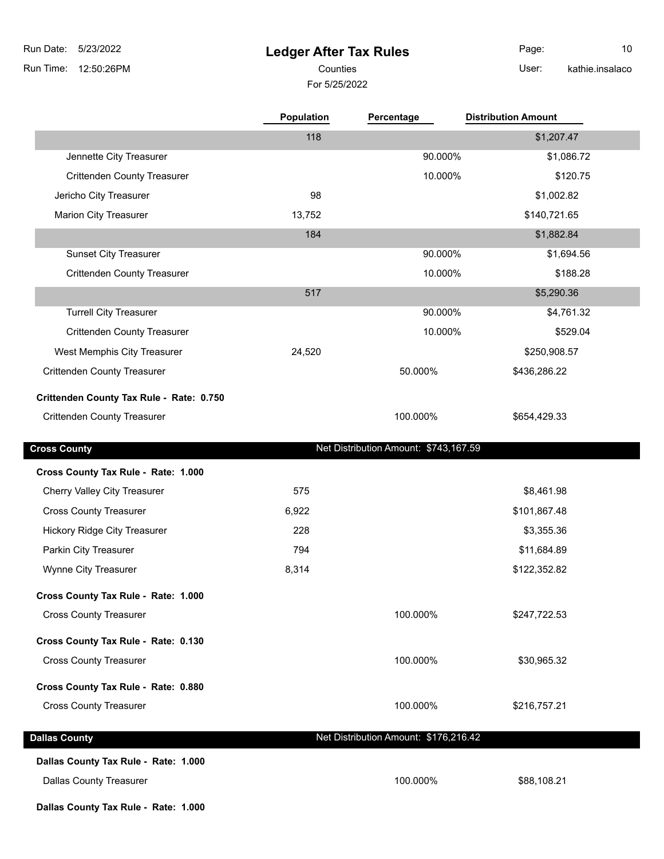## **Ledger After Tax Rules**

For 5/25/2022 Counties **User:** 

Page: 10 kathie.insalaco

|                                          | Population | Percentage                            | <b>Distribution Amount</b> |
|------------------------------------------|------------|---------------------------------------|----------------------------|
|                                          | 118        |                                       | \$1,207.47                 |
| Jennette City Treasurer                  |            | 90.000%                               | \$1,086.72                 |
| <b>Crittenden County Treasurer</b>       |            | 10.000%                               | \$120.75                   |
| Jericho City Treasurer                   | 98         |                                       | \$1,002.82                 |
| <b>Marion City Treasurer</b>             | 13,752     |                                       | \$140,721.65               |
|                                          | 184        |                                       | \$1,882.84                 |
| <b>Sunset City Treasurer</b>             |            | 90.000%                               | \$1,694.56                 |
| <b>Crittenden County Treasurer</b>       |            | 10.000%                               | \$188.28                   |
|                                          | 517        |                                       | \$5,290.36                 |
| <b>Turrell City Treasurer</b>            |            | 90.000%                               | \$4,761.32                 |
| <b>Crittenden County Treasurer</b>       |            | 10.000%                               | \$529.04                   |
| West Memphis City Treasurer              | 24,520     |                                       | \$250,908.57               |
| <b>Crittenden County Treasurer</b>       |            | 50.000%                               | \$436,286.22               |
| Crittenden County Tax Rule - Rate: 0.750 |            |                                       |                            |
| <b>Crittenden County Treasurer</b>       |            | 100.000%                              | \$654,429.33               |
|                                          |            |                                       |                            |
| <b>Cross County</b>                      |            | Net Distribution Amount: \$743,167.59 |                            |
| Cross County Tax Rule - Rate: 1.000      |            |                                       |                            |
| Cherry Valley City Treasurer             | 575        |                                       | \$8,461.98                 |
| <b>Cross County Treasurer</b>            | 6,922      |                                       | \$101,867.48               |
| <b>Hickory Ridge City Treasurer</b>      | 228        |                                       | \$3,355.36                 |
| Parkin City Treasurer                    | 794        |                                       | \$11,684.89                |
| Wynne City Treasurer                     | 8,314      |                                       | \$122,352.82               |
| Cross County Tax Rule - Rate: 1.000      |            |                                       |                            |
| <b>Cross County Treasurer</b>            |            | 100.000%                              | \$247,722.53               |
|                                          |            |                                       |                            |
| Cross County Tax Rule - Rate: 0.130      |            |                                       |                            |
| <b>Cross County Treasurer</b>            |            | 100.000%                              | \$30,965.32                |
| Cross County Tax Rule - Rate: 0.880      |            |                                       |                            |
| <b>Cross County Treasurer</b>            |            | 100.000%                              | \$216,757.21               |
|                                          |            |                                       |                            |
| <b>Dallas County</b>                     |            | Net Distribution Amount: \$176,216.42 |                            |
| Dallas County Tax Rule - Rate: 1.000     |            |                                       |                            |
| <b>Dallas County Treasurer</b>           |            | 100.000%                              | \$88,108.21                |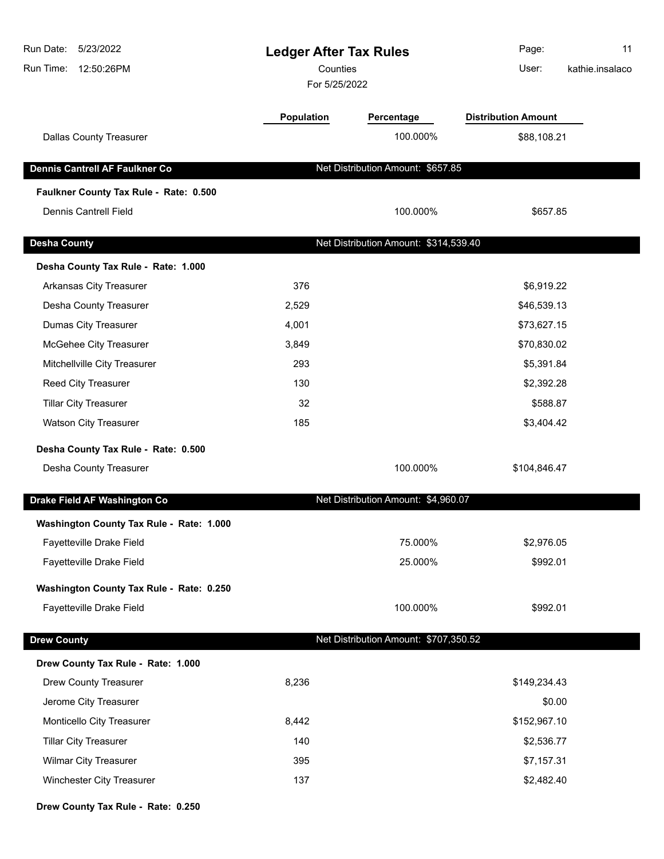| Run Date:<br>5/23/2022<br>Run Time:<br>12:50:26PM | <b>Ledger After Tax Rules</b><br>Counties<br>For 5/25/2022 |                                       | Page:<br>User:             | 11<br>kathie.insalaco |
|---------------------------------------------------|------------------------------------------------------------|---------------------------------------|----------------------------|-----------------------|
|                                                   | Population                                                 | Percentage                            | <b>Distribution Amount</b> |                       |
| <b>Dallas County Treasurer</b>                    |                                                            | 100.000%                              | \$88,108.21                |                       |
| Dennis Cantrell AF Faulkner Co                    |                                                            | Net Distribution Amount: \$657.85     |                            |                       |
| Faulkner County Tax Rule - Rate: 0.500            |                                                            |                                       |                            |                       |
| <b>Dennis Cantrell Field</b>                      |                                                            | 100.000%                              | \$657.85                   |                       |
| <b>Desha County</b>                               |                                                            | Net Distribution Amount: \$314,539.40 |                            |                       |
| Desha County Tax Rule - Rate: 1.000               |                                                            |                                       |                            |                       |
| Arkansas City Treasurer                           | 376                                                        |                                       | \$6,919.22                 |                       |
| Desha County Treasurer                            | 2,529                                                      |                                       | \$46,539.13                |                       |
| Dumas City Treasurer                              | 4,001                                                      |                                       | \$73,627.15                |                       |
| McGehee City Treasurer                            | 3,849                                                      |                                       | \$70,830.02                |                       |
| Mitchellville City Treasurer                      | 293                                                        |                                       | \$5,391.84                 |                       |
| Reed City Treasurer                               | 130                                                        |                                       | \$2,392.28                 |                       |
| <b>Tillar City Treasurer</b>                      | 32                                                         |                                       | \$588.87                   |                       |
| <b>Watson City Treasurer</b>                      | 185                                                        |                                       | \$3,404.42                 |                       |
| Desha County Tax Rule - Rate: 0.500               |                                                            |                                       |                            |                       |
| Desha County Treasurer                            |                                                            | 100.000%                              | \$104,846.47               |                       |
| Drake Field AF Washington Co                      |                                                            | Net Distribution Amount: \$4,960.07   |                            |                       |
| Washington County Tax Rule - Rate: 1.000          |                                                            |                                       |                            |                       |
| Fayetteville Drake Field                          |                                                            | 75.000%                               | \$2,976.05                 |                       |
| Fayetteville Drake Field                          |                                                            | 25.000%                               | \$992.01                   |                       |
| Washington County Tax Rule - Rate: 0.250          |                                                            |                                       |                            |                       |
| Fayetteville Drake Field                          |                                                            | 100.000%                              | \$992.01                   |                       |
| <b>Drew County</b>                                |                                                            | Net Distribution Amount: \$707,350.52 |                            |                       |
| Drew County Tax Rule - Rate: 1.000                |                                                            |                                       |                            |                       |
| Drew County Treasurer                             | 8,236                                                      |                                       | \$149,234.43               |                       |
| Jerome City Treasurer                             |                                                            |                                       | \$0.00                     |                       |
| Monticello City Treasurer                         | 8,442                                                      |                                       | \$152,967.10               |                       |
| <b>Tillar City Treasurer</b>                      | 140                                                        |                                       | \$2,536.77                 |                       |
| <b>Wilmar City Treasurer</b>                      | 395                                                        |                                       | \$7,157.31                 |                       |
| Winchester City Treasurer                         | 137                                                        |                                       | \$2,482.40                 |                       |

**Drew County Tax Rule - Rate: 0.250**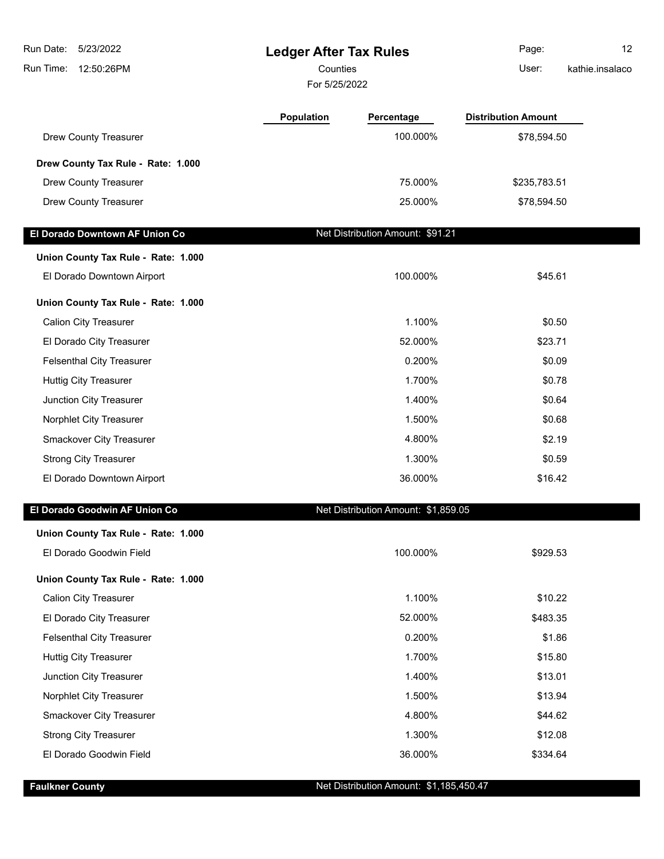| Run Date:<br>5/23/2022              | <b>Ledger After Tax Rules</b> |                                         | Page:                      | 12 <sup>2</sup> |
|-------------------------------------|-------------------------------|-----------------------------------------|----------------------------|-----------------|
| Run Time:<br>12:50:26PM             |                               | Counties                                |                            | kathie.insalaco |
|                                     | For 5/25/2022                 |                                         |                            |                 |
|                                     | Population                    | Percentage                              | <b>Distribution Amount</b> |                 |
| <b>Drew County Treasurer</b>        |                               | 100.000%                                | \$78,594.50                |                 |
| Drew County Tax Rule - Rate: 1.000  |                               |                                         |                            |                 |
| Drew County Treasurer               |                               | 75.000%                                 | \$235,783.51               |                 |
| Drew County Treasurer               |                               | 25.000%                                 | \$78,594.50                |                 |
| El Dorado Downtown AF Union Co      |                               | Net Distribution Amount: \$91.21        |                            |                 |
| Union County Tax Rule - Rate: 1.000 |                               |                                         |                            |                 |
| El Dorado Downtown Airport          |                               | 100.000%                                | \$45.61                    |                 |
| Union County Tax Rule - Rate: 1.000 |                               |                                         |                            |                 |
| <b>Calion City Treasurer</b>        |                               | 1.100%                                  | \$0.50                     |                 |
| El Dorado City Treasurer            |                               | 52.000%                                 | \$23.71                    |                 |
| <b>Felsenthal City Treasurer</b>    |                               | 0.200%                                  | \$0.09                     |                 |
| <b>Huttig City Treasurer</b>        |                               | 1.700%                                  | \$0.78                     |                 |
| Junction City Treasurer             |                               | 1.400%                                  | \$0.64                     |                 |
| Norphlet City Treasurer             |                               | 1.500%                                  | \$0.68                     |                 |
| Smackover City Treasurer            |                               | 4.800%                                  | \$2.19                     |                 |
| <b>Strong City Treasurer</b>        |                               | 1.300%                                  | \$0.59                     |                 |
| El Dorado Downtown Airport          |                               | 36.000%                                 | \$16.42                    |                 |
| El Dorado Goodwin AF Union Co       |                               | Net Distribution Amount: \$1,859.05     |                            |                 |
| Union County Tax Rule - Rate: 1.000 |                               |                                         |                            |                 |
| El Dorado Goodwin Field             |                               | 100.000%                                | \$929.53                   |                 |
| Union County Tax Rule - Rate: 1.000 |                               |                                         |                            |                 |
| <b>Calion City Treasurer</b>        |                               | 1.100%                                  | \$10.22                    |                 |
| El Dorado City Treasurer            |                               | 52.000%                                 | \$483.35                   |                 |
| <b>Felsenthal City Treasurer</b>    |                               | 0.200%                                  | \$1.86                     |                 |
| <b>Huttig City Treasurer</b>        |                               | 1.700%                                  | \$15.80                    |                 |
| Junction City Treasurer             |                               | 1.400%                                  | \$13.01                    |                 |
| Norphlet City Treasurer             |                               | 1.500%                                  | \$13.94                    |                 |
| Smackover City Treasurer            |                               | 4.800%                                  | \$44.62                    |                 |
| <b>Strong City Treasurer</b>        |                               | 1.300%                                  | \$12.08                    |                 |
| El Dorado Goodwin Field             |                               | 36.000%                                 | \$334.64                   |                 |
| <b>Faulkner County</b>              |                               | Net Distribution Amount: \$1,185,450.47 |                            |                 |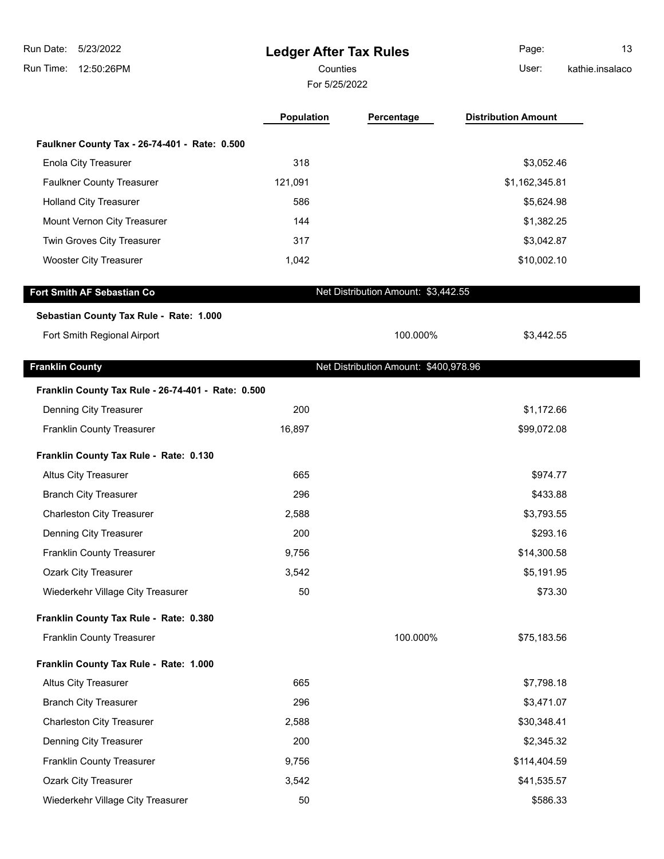| 5/23/2022<br>Run Date:<br>Run Time:<br>12:50:26PM  |            | <b>Ledger After Tax Rules</b><br>Counties<br>For 5/25/2022 |                            | 13<br>kathie.insalaco |
|----------------------------------------------------|------------|------------------------------------------------------------|----------------------------|-----------------------|
|                                                    | Population | Percentage                                                 | <b>Distribution Amount</b> |                       |
| Faulkner County Tax - 26-74-401 - Rate: 0.500      |            |                                                            |                            |                       |
| <b>Enola City Treasurer</b>                        | 318        |                                                            | \$3,052.46                 |                       |
| <b>Faulkner County Treasurer</b>                   | 121,091    |                                                            | \$1,162,345.81             |                       |
| <b>Holland City Treasurer</b>                      | 586        |                                                            | \$5,624.98                 |                       |
| Mount Vernon City Treasurer                        | 144        |                                                            | \$1,382.25                 |                       |
| Twin Groves City Treasurer                         | 317        |                                                            | \$3,042.87                 |                       |
| <b>Wooster City Treasurer</b>                      | 1,042      |                                                            | \$10,002.10                |                       |
| Fort Smith AF Sebastian Co                         |            | Net Distribution Amount: \$3,442.55                        |                            |                       |
| Sebastian County Tax Rule - Rate: 1.000            |            |                                                            |                            |                       |
| Fort Smith Regional Airport                        |            | 100.000%                                                   | \$3,442.55                 |                       |
| <b>Franklin County</b>                             |            | Net Distribution Amount: \$400,978.96                      |                            |                       |
| Franklin County Tax Rule - 26-74-401 - Rate: 0.500 |            |                                                            |                            |                       |
| Denning City Treasurer                             | 200        |                                                            | \$1,172.66                 |                       |
| Franklin County Treasurer                          | 16,897     |                                                            | \$99,072.08                |                       |
| Franklin County Tax Rule - Rate: 0.130             |            |                                                            |                            |                       |
| Altus City Treasurer                               | 665        |                                                            | \$974.77                   |                       |
| <b>Branch City Treasurer</b>                       | 296        |                                                            | \$433.88                   |                       |
| <b>Charleston City Treasurer</b>                   | 2,588      |                                                            | \$3,793.55                 |                       |
| Denning City Treasurer                             | 200        |                                                            | \$293.16                   |                       |
| <b>Franklin County Treasurer</b>                   | 9,756      |                                                            | \$14,300.58                |                       |
| <b>Ozark City Treasurer</b>                        | 3,542      |                                                            | \$5,191.95                 |                       |
| Wiederkehr Village City Treasurer                  | 50         |                                                            | \$73.30                    |                       |
| Franklin County Tax Rule - Rate: 0.380             |            |                                                            |                            |                       |
| <b>Franklin County Treasurer</b>                   |            | 100.000%                                                   | \$75,183.56                |                       |
| Franklin County Tax Rule - Rate: 1.000             |            |                                                            |                            |                       |
| Altus City Treasurer                               | 665        |                                                            | \$7,798.18                 |                       |
| <b>Branch City Treasurer</b>                       | 296        |                                                            | \$3,471.07                 |                       |
| <b>Charleston City Treasurer</b>                   | 2,588      |                                                            | \$30,348.41                |                       |
| Denning City Treasurer                             | 200        |                                                            | \$2,345.32                 |                       |
| Franklin County Treasurer                          | 9,756      |                                                            | \$114,404.59               |                       |
| Ozark City Treasurer                               | 3,542      |                                                            | \$41,535.57                |                       |
| Wiederkehr Village City Treasurer                  | 50         |                                                            | \$586.33                   |                       |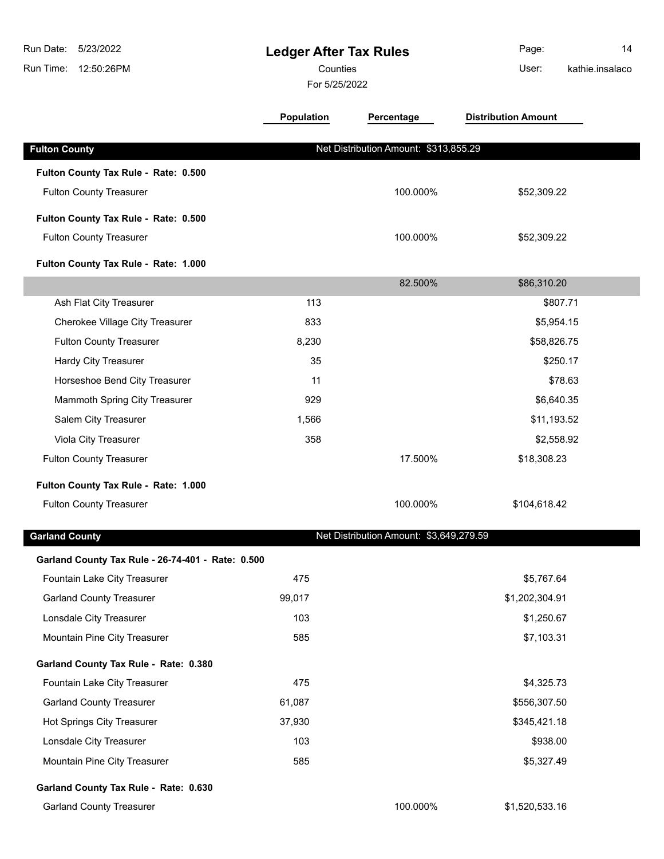| Run Date:<br>5/23/2022<br>Run Time:<br>12:50:26PM | <b>Ledger After Tax Rules</b><br>Counties<br>For 5/25/2022 |                                         | Page:<br>14<br>User:<br>kathie.insalaco |  |
|---------------------------------------------------|------------------------------------------------------------|-----------------------------------------|-----------------------------------------|--|
|                                                   | <b>Population</b>                                          | Percentage                              | <b>Distribution Amount</b>              |  |
| <b>Fulton County</b>                              |                                                            | Net Distribution Amount: \$313,855.29   |                                         |  |
| Fulton County Tax Rule - Rate: 0.500              |                                                            |                                         |                                         |  |
| <b>Fulton County Treasurer</b>                    |                                                            | 100.000%                                | \$52,309.22                             |  |
| Fulton County Tax Rule - Rate: 0.500              |                                                            |                                         |                                         |  |
| <b>Fulton County Treasurer</b>                    |                                                            | 100.000%                                | \$52,309.22                             |  |
| Fulton County Tax Rule - Rate: 1.000              |                                                            |                                         |                                         |  |
|                                                   |                                                            | 82.500%                                 | \$86,310.20                             |  |
| Ash Flat City Treasurer                           | 113                                                        |                                         | \$807.71                                |  |
| Cherokee Village City Treasurer                   | 833                                                        |                                         | \$5,954.15                              |  |
| <b>Fulton County Treasurer</b>                    | 8,230                                                      |                                         | \$58,826.75                             |  |
| Hardy City Treasurer                              | 35                                                         |                                         | \$250.17                                |  |
| Horseshoe Bend City Treasurer                     | 11                                                         |                                         | \$78.63                                 |  |
| Mammoth Spring City Treasurer                     | 929                                                        |                                         | \$6,640.35                              |  |
| Salem City Treasurer                              | 1,566                                                      |                                         | \$11,193.52                             |  |
| Viola City Treasurer                              | 358                                                        |                                         | \$2,558.92                              |  |
| <b>Fulton County Treasurer</b>                    |                                                            | 17.500%                                 | \$18,308.23                             |  |
| Fulton County Tax Rule - Rate: 1.000              |                                                            |                                         |                                         |  |
| <b>Fulton County Treasurer</b>                    |                                                            | 100.000%                                | \$104,618.42                            |  |
| <b>Garland County</b>                             |                                                            | Net Distribution Amount: \$3,649,279.59 |                                         |  |
| Garland County Tax Rule - 26-74-401 - Rate: 0.500 |                                                            |                                         |                                         |  |
| Fountain Lake City Treasurer                      | 475                                                        |                                         | \$5,767.64                              |  |
| <b>Garland County Treasurer</b>                   | 99,017                                                     |                                         | \$1,202,304.91                          |  |
| Lonsdale City Treasurer                           | 103                                                        |                                         | \$1,250.67                              |  |
| Mountain Pine City Treasurer                      | 585                                                        |                                         | \$7,103.31                              |  |
| Garland County Tax Rule - Rate: 0.380             |                                                            |                                         |                                         |  |
| Fountain Lake City Treasurer                      | 475                                                        |                                         | \$4,325.73                              |  |
| <b>Garland County Treasurer</b>                   | 61,087                                                     |                                         | \$556,307.50                            |  |
| Hot Springs City Treasurer                        | 37,930                                                     |                                         | \$345,421.18                            |  |
| Lonsdale City Treasurer                           | 103                                                        |                                         | \$938.00                                |  |
| Mountain Pine City Treasurer                      | 585                                                        |                                         | \$5,327.49                              |  |
| Garland County Tax Rule - Rate: 0.630             |                                                            |                                         |                                         |  |
| <b>Garland County Treasurer</b>                   |                                                            | 100.000%                                | \$1,520,533.16                          |  |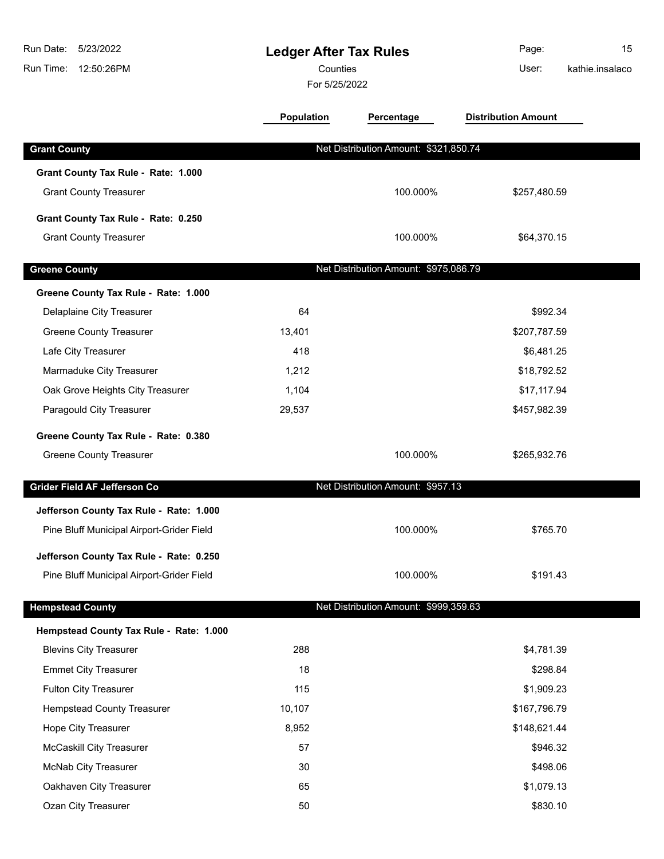| Run Date:<br>5/23/2022<br>Run Time: 12:50:26PM |                   | <b>Ledger After Tax Rules</b><br>Counties<br>For 5/25/2022 |                            | 15<br>kathie.insalaco |
|------------------------------------------------|-------------------|------------------------------------------------------------|----------------------------|-----------------------|
|                                                | <b>Population</b> | Percentage                                                 | <b>Distribution Amount</b> |                       |
| <b>Grant County</b>                            |                   | Net Distribution Amount: \$321,850.74                      |                            |                       |
| Grant County Tax Rule - Rate: 1.000            |                   |                                                            |                            |                       |
| <b>Grant County Treasurer</b>                  |                   | 100.000%                                                   | \$257,480.59               |                       |
| Grant County Tax Rule - Rate: 0.250            |                   |                                                            |                            |                       |
| <b>Grant County Treasurer</b>                  |                   | 100.000%                                                   | \$64,370.15                |                       |
| <b>Greene County</b>                           |                   | Net Distribution Amount: \$975,086.79                      |                            |                       |
| Greene County Tax Rule - Rate: 1.000           |                   |                                                            |                            |                       |
| Delaplaine City Treasurer                      | 64                |                                                            | \$992.34                   |                       |
| <b>Greene County Treasurer</b>                 | 13,401            |                                                            | \$207,787.59               |                       |
| Lafe City Treasurer                            | 418               |                                                            | \$6,481.25                 |                       |
| Marmaduke City Treasurer                       | 1,212             |                                                            | \$18,792.52                |                       |
| Oak Grove Heights City Treasurer               | 1,104             |                                                            | \$17,117.94                |                       |
| Paragould City Treasurer                       | 29,537            |                                                            | \$457,982.39               |                       |
| Greene County Tax Rule - Rate: 0.380           |                   |                                                            |                            |                       |
| <b>Greene County Treasurer</b>                 |                   | 100.000%                                                   | \$265,932.76               |                       |
| Grider Field AF Jefferson Co                   |                   | Net Distribution Amount: \$957.13                          |                            |                       |
| Jefferson County Tax Rule - Rate: 1.000        |                   |                                                            |                            |                       |
| Pine Bluff Municipal Airport-Grider Field      |                   | 100.000%                                                   | \$765.70                   |                       |
| Jefferson County Tax Rule - Rate: 0.250        |                   |                                                            |                            |                       |
| Pine Bluff Municipal Airport-Grider Field      |                   | 100.000%                                                   | \$191.43                   |                       |
| <b>Hempstead County</b>                        |                   | Net Distribution Amount: \$999,359.63                      |                            |                       |
| Hempstead County Tax Rule - Rate: 1.000        |                   |                                                            |                            |                       |
| <b>Blevins City Treasurer</b>                  | 288               |                                                            | \$4,781.39                 |                       |
| <b>Emmet City Treasurer</b>                    | 18                |                                                            | \$298.84                   |                       |
| <b>Fulton City Treasurer</b>                   | 115               |                                                            | \$1,909.23                 |                       |
| <b>Hempstead County Treasurer</b>              | 10,107            |                                                            | \$167,796.79               |                       |
| Hope City Treasurer                            | 8,952             |                                                            | \$148,621.44               |                       |
| <b>McCaskill City Treasurer</b>                | 57                |                                                            | \$946.32                   |                       |
| McNab City Treasurer                           | 30                |                                                            | \$498.06                   |                       |
| Oakhaven City Treasurer                        | 65                |                                                            | \$1,079.13                 |                       |
| Ozan City Treasurer                            | 50                |                                                            | \$830.10                   |                       |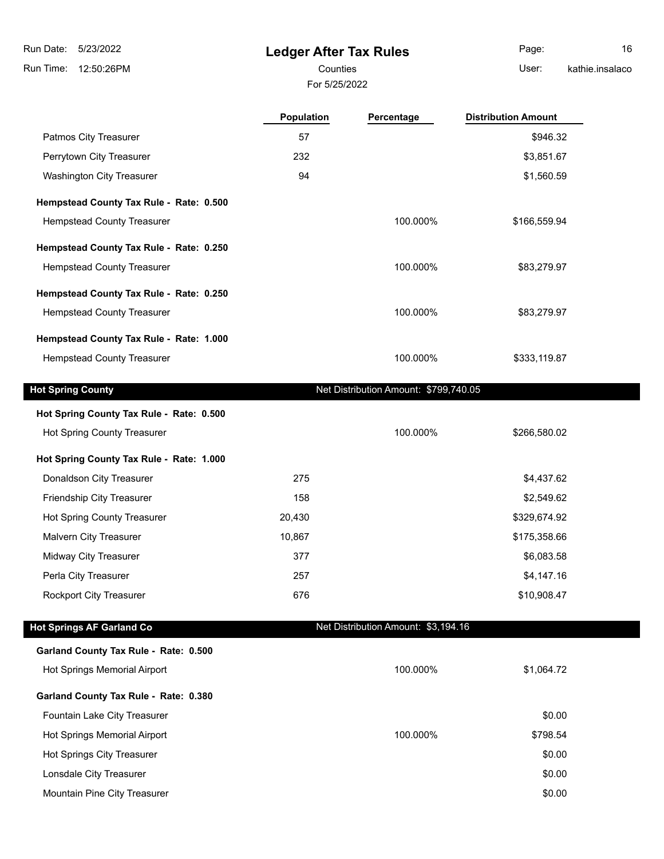# **Ledger After Tax Rules**

For 5/25/2022

Counties User: Page: 16

kathie.insalaco

| NGU IIG.II ISAIAUU |  |  |
|--------------------|--|--|
|                    |  |  |
|                    |  |  |
|                    |  |  |

|                                          | <b>Population</b> | Percentage                            | <b>Distribution Amount</b> |
|------------------------------------------|-------------------|---------------------------------------|----------------------------|
| Patmos City Treasurer                    | 57                |                                       | \$946.32                   |
| Perrytown City Treasurer                 | 232               |                                       | \$3,851.67                 |
| Washington City Treasurer                | 94                |                                       | \$1,560.59                 |
| Hempstead County Tax Rule - Rate: 0.500  |                   |                                       |                            |
| <b>Hempstead County Treasurer</b>        |                   | 100.000%                              | \$166,559.94               |
| Hempstead County Tax Rule - Rate: 0.250  |                   |                                       |                            |
| <b>Hempstead County Treasurer</b>        |                   | 100.000%                              | \$83,279.97                |
| Hempstead County Tax Rule - Rate: 0.250  |                   |                                       |                            |
| <b>Hempstead County Treasurer</b>        |                   | 100.000%                              | \$83,279.97                |
| Hempstead County Tax Rule - Rate: 1.000  |                   |                                       |                            |
| <b>Hempstead County Treasurer</b>        |                   | 100.000%                              | \$333,119.87               |
| <b>Hot Spring County</b>                 |                   | Net Distribution Amount: \$799,740.05 |                            |
| Hot Spring County Tax Rule - Rate: 0.500 |                   |                                       |                            |
| Hot Spring County Treasurer              |                   | 100.000%                              | \$266,580.02               |
| Hot Spring County Tax Rule - Rate: 1.000 |                   |                                       |                            |
| Donaldson City Treasurer                 | 275               |                                       | \$4,437.62                 |
| Friendship City Treasurer                | 158               |                                       | \$2,549.62                 |
| Hot Spring County Treasurer              | 20,430            |                                       | \$329,674.92               |
| Malvern City Treasurer                   | 10,867            |                                       | \$175,358.66               |
| Midway City Treasurer                    | 377               |                                       | \$6,083.58                 |
| Perla City Treasurer                     | 257               |                                       | \$4,147.16                 |
| <b>Rockport City Treasurer</b>           | 676               |                                       | \$10,908.47                |
| <b>Hot Springs AF Garland Co</b>         |                   | Net Distribution Amount: \$3,194.16   |                            |
| Garland County Tax Rule - Rate: 0.500    |                   |                                       |                            |
| Hot Springs Memorial Airport             |                   | 100.000%                              | \$1,064.72                 |
| Garland County Tax Rule - Rate: 0.380    |                   |                                       |                            |
| Fountain Lake City Treasurer             |                   |                                       | \$0.00                     |
| Hot Springs Memorial Airport             |                   | 100.000%                              | \$798.54                   |
| Hot Springs City Treasurer               |                   |                                       | \$0.00                     |
| Lonsdale City Treasurer                  |                   |                                       | \$0.00                     |

Mountain Pine City Treasurer  $$0.00$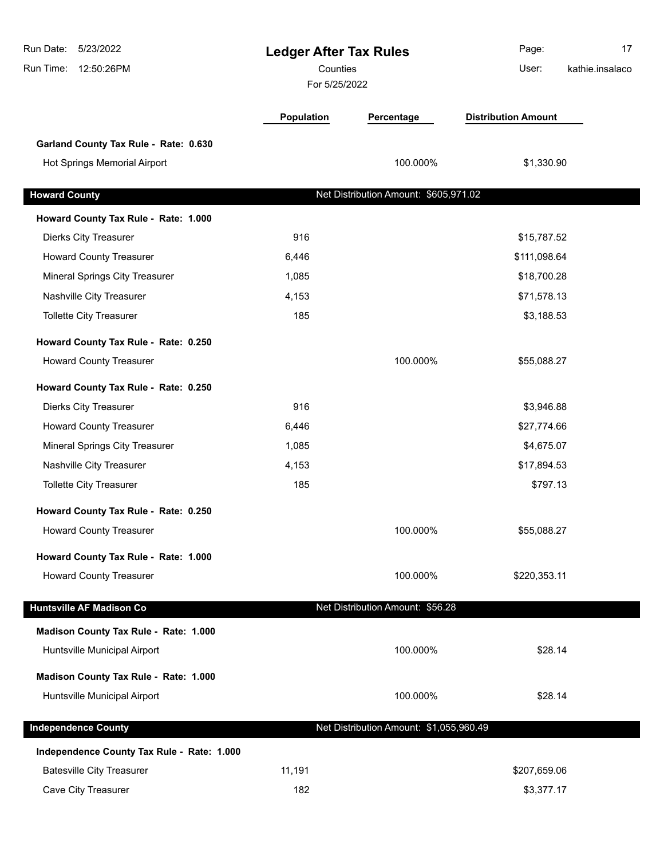| Run Date:<br>5/23/2022<br><b>Ledger After Tax Rules</b><br>Counties<br>12:50:26PM<br>Run Time:<br>For 5/25/2022 |            |                                         | 17<br>Page:<br>User:<br>kathie.insalaco |
|-----------------------------------------------------------------------------------------------------------------|------------|-----------------------------------------|-----------------------------------------|
|                                                                                                                 | Population | Percentage                              | <b>Distribution Amount</b>              |
| Garland County Tax Rule - Rate: 0.630                                                                           |            |                                         |                                         |
| Hot Springs Memorial Airport                                                                                    |            | 100.000%                                | \$1,330.90                              |
| <b>Howard County</b>                                                                                            |            | Net Distribution Amount: \$605,971.02   |                                         |
| Howard County Tax Rule - Rate: 1.000                                                                            |            |                                         |                                         |
| <b>Dierks City Treasurer</b>                                                                                    | 916        |                                         | \$15,787.52                             |
| <b>Howard County Treasurer</b>                                                                                  | 6,446      |                                         | \$111,098.64                            |
| Mineral Springs City Treasurer                                                                                  | 1,085      |                                         | \$18,700.28                             |
| Nashville City Treasurer                                                                                        | 4,153      |                                         | \$71,578.13                             |
| <b>Tollette City Treasurer</b>                                                                                  | 185        |                                         | \$3,188.53                              |
| Howard County Tax Rule - Rate: 0.250                                                                            |            |                                         |                                         |
| <b>Howard County Treasurer</b>                                                                                  |            | 100.000%                                | \$55,088.27                             |
| Howard County Tax Rule - Rate: 0.250                                                                            |            |                                         |                                         |
| <b>Dierks City Treasurer</b>                                                                                    | 916        |                                         | \$3,946.88                              |
| <b>Howard County Treasurer</b>                                                                                  | 6,446      |                                         | \$27,774.66                             |
| Mineral Springs City Treasurer                                                                                  | 1,085      |                                         | \$4,675.07                              |
| Nashville City Treasurer                                                                                        | 4,153      |                                         | \$17,894.53                             |
| <b>Tollette City Treasurer</b>                                                                                  | 185        |                                         | \$797.13                                |
| Howard County Tax Rule - Rate: 0.250                                                                            |            |                                         |                                         |
| <b>Howard County Treasurer</b>                                                                                  |            | 100.000%                                | \$55,088.27                             |
| Howard County Tax Rule - Rate: 1.000                                                                            |            |                                         |                                         |
| <b>Howard County Treasurer</b>                                                                                  |            | 100.000%                                | \$220,353.11                            |
| <b>Huntsville AF Madison Co</b>                                                                                 |            | Net Distribution Amount: \$56.28        |                                         |
| Madison County Tax Rule - Rate: 1.000                                                                           |            |                                         |                                         |
| Huntsville Municipal Airport                                                                                    |            | 100.000%                                | \$28.14                                 |
| Madison County Tax Rule - Rate: 1.000                                                                           |            |                                         |                                         |
| Huntsville Municipal Airport                                                                                    |            | 100.000%                                | \$28.14                                 |
| <b>Independence County</b>                                                                                      |            | Net Distribution Amount: \$1,055,960.49 |                                         |
| Independence County Tax Rule - Rate: 1.000                                                                      |            |                                         |                                         |
| <b>Batesville City Treasurer</b>                                                                                | 11,191     |                                         | \$207,659.06                            |
| Cave City Treasurer                                                                                             | 182        |                                         | \$3,377.17                              |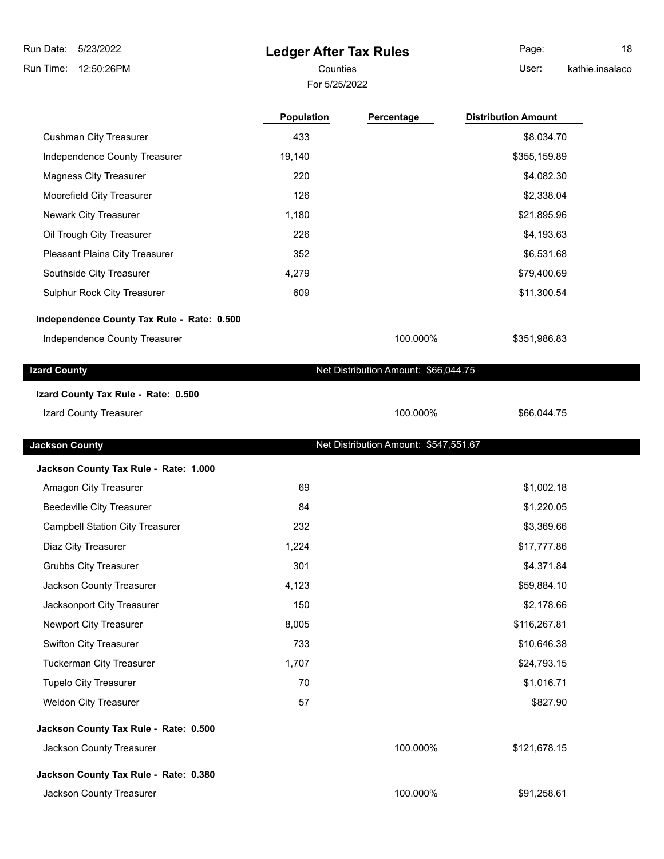# **Ledger After Tax Rules**

For 5/25/2022

Counties **User:** Page: 18 kathie.insalaco

٠

|                                            | Population | Percentage                            | <b>Distribution Amount</b> |
|--------------------------------------------|------------|---------------------------------------|----------------------------|
| <b>Cushman City Treasurer</b>              | 433        |                                       | \$8,034.70                 |
| Independence County Treasurer              | 19,140     |                                       | \$355,159.89               |
| <b>Magness City Treasurer</b>              | 220        |                                       | \$4,082.30                 |
| Moorefield City Treasurer                  | 126        |                                       | \$2,338.04                 |
| Newark City Treasurer                      | 1,180      |                                       | \$21,895.96                |
| Oil Trough City Treasurer                  | 226        |                                       | \$4,193.63                 |
| Pleasant Plains City Treasurer             | 352        |                                       | \$6,531.68                 |
| Southside City Treasurer                   | 4,279      |                                       | \$79,400.69                |
| Sulphur Rock City Treasurer                | 609        |                                       | \$11,300.54                |
| Independence County Tax Rule - Rate: 0.500 |            |                                       |                            |
| Independence County Treasurer              |            | 100.000%                              | \$351,986.83               |
| <b>Izard County</b>                        |            | Net Distribution Amount: \$66,044.75  |                            |
| Izard County Tax Rule - Rate: 0.500        |            |                                       |                            |
| Izard County Treasurer                     |            | 100.000%                              | \$66,044.75                |
| <b>Jackson County</b>                      |            | Net Distribution Amount: \$547,551.67 |                            |
| Jackson County Tax Rule - Rate: 1.000      |            |                                       |                            |
| Amagon City Treasurer                      | 69         |                                       | \$1,002.18                 |
| <b>Beedeville City Treasurer</b>           | 84         |                                       | \$1,220.05                 |
| <b>Campbell Station City Treasurer</b>     | 232        |                                       | \$3,369.66                 |
| Diaz City Treasurer                        | 1,224      |                                       | \$17,777.86                |
| <b>Grubbs City Treasurer</b>               | 301        |                                       | \$4,371.84                 |
| Jackson County Treasurer                   | 4.123      |                                       | \$59,884.10                |
| Jacksonport City Treasurer                 | 150        |                                       | \$2,178.66                 |
| Newport City Treasurer                     | 8,005      |                                       | \$116,267.81               |
| Swifton City Treasurer                     | 733        |                                       | \$10,646.38                |
| <b>Tuckerman City Treasurer</b>            | 1,707      |                                       | \$24,793.15                |
| <b>Tupelo City Treasurer</b>               | 70         |                                       | \$1,016.71                 |
| Weldon City Treasurer                      | 57         |                                       | \$827.90                   |
| Jackson County Tax Rule - Rate: 0.500      |            |                                       |                            |
| Jackson County Treasurer                   |            | 100.000%                              | \$121,678.15               |
| Jackson County Tax Rule - Rate: 0.380      |            |                                       |                            |
| Jackson County Treasurer                   |            | 100.000%                              | \$91,258.61                |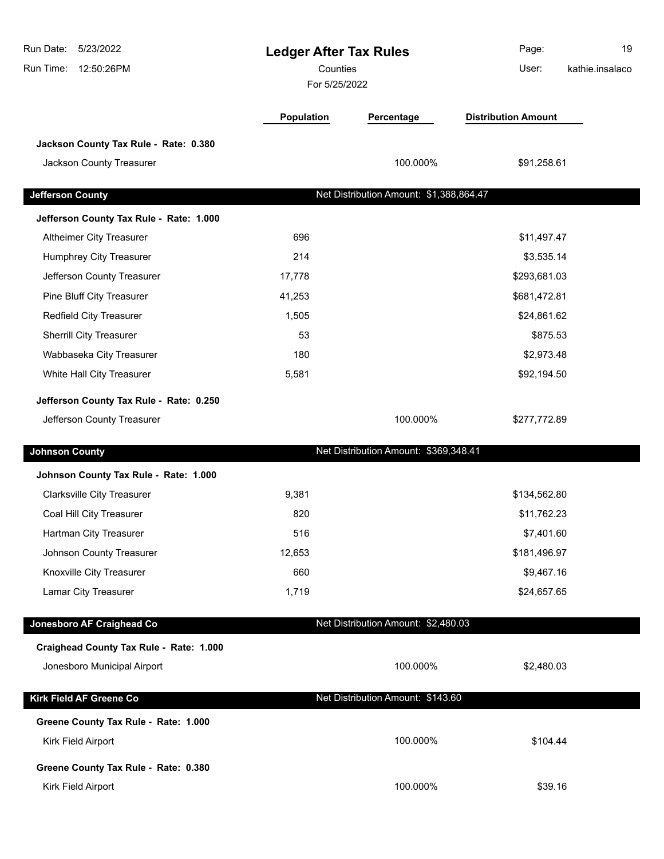| Run Date:<br>5/23/2022<br>Run Time:<br>12:50:26PM | <b>Ledger After Tax Rules</b><br>Counties<br>For 5/25/2022 |                                         | Page:<br>User:             | 19<br>kathie.insalaco |
|---------------------------------------------------|------------------------------------------------------------|-----------------------------------------|----------------------------|-----------------------|
|                                                   | <b>Population</b>                                          | Percentage                              | <b>Distribution Amount</b> |                       |
| Jackson County Tax Rule - Rate: 0.380             |                                                            |                                         |                            |                       |
| Jackson County Treasurer                          |                                                            | 100.000%                                | \$91,258.61                |                       |
| <b>Jefferson County</b>                           |                                                            | Net Distribution Amount: \$1,388,864.47 |                            |                       |
| Jefferson County Tax Rule - Rate: 1.000           |                                                            |                                         |                            |                       |
| Altheimer City Treasurer                          | 696                                                        |                                         | \$11,497.47                |                       |
| <b>Humphrey City Treasurer</b>                    | 214                                                        |                                         | \$3,535.14                 |                       |
| Jefferson County Treasurer                        | 17,778                                                     |                                         | \$293,681.03               |                       |
| Pine Bluff City Treasurer                         | 41,253                                                     |                                         | \$681,472.81               |                       |
| Redfield City Treasurer                           | 1,505                                                      |                                         | \$24,861.62                |                       |
| <b>Sherrill City Treasurer</b>                    | 53                                                         |                                         | \$875.53                   |                       |
| Wabbaseka City Treasurer                          | 180                                                        |                                         | \$2,973.48                 |                       |
| White Hall City Treasurer                         | 5,581                                                      |                                         | \$92,194.50                |                       |
| Jefferson County Tax Rule - Rate: 0.250           |                                                            |                                         |                            |                       |
| Jefferson County Treasurer                        |                                                            | 100.000%                                | \$277,772.89               |                       |
| <b>Johnson County</b>                             |                                                            | Net Distribution Amount: \$369,348.41   |                            |                       |
| Johnson County Tax Rule - Rate: 1.000             |                                                            |                                         |                            |                       |
| <b>Clarksville City Treasurer</b>                 | 9,381                                                      |                                         | \$134,562.80               |                       |
| Coal Hill City Treasurer                          | 820                                                        |                                         | \$11,762.23                |                       |
| Hartman City Treasurer                            | 516                                                        |                                         | \$7,401.60                 |                       |
| Johnson County Treasurer                          | 12,653                                                     |                                         | \$181,496.97               |                       |
| Knoxville City Treasurer                          | 660                                                        |                                         | \$9,467.16                 |                       |
| Lamar City Treasurer                              | 1,719                                                      |                                         | \$24,657.65                |                       |
| Jonesboro AF Craighead Co                         |                                                            | Net Distribution Amount: \$2,480.03     |                            |                       |
| Craighead County Tax Rule - Rate: 1.000           |                                                            |                                         |                            |                       |
| Jonesboro Municipal Airport                       |                                                            | 100.000%                                | \$2,480.03                 |                       |
| <b>Kirk Field AF Greene Co</b>                    |                                                            | Net Distribution Amount: \$143.60       |                            |                       |
| Greene County Tax Rule - Rate: 1.000              |                                                            |                                         |                            |                       |
| Kirk Field Airport                                |                                                            | 100.000%                                | \$104.44                   |                       |
| Greene County Tax Rule - Rate: 0.380              |                                                            |                                         |                            |                       |
| Kirk Field Airport                                |                                                            | 100.000%                                | \$39.16                    |                       |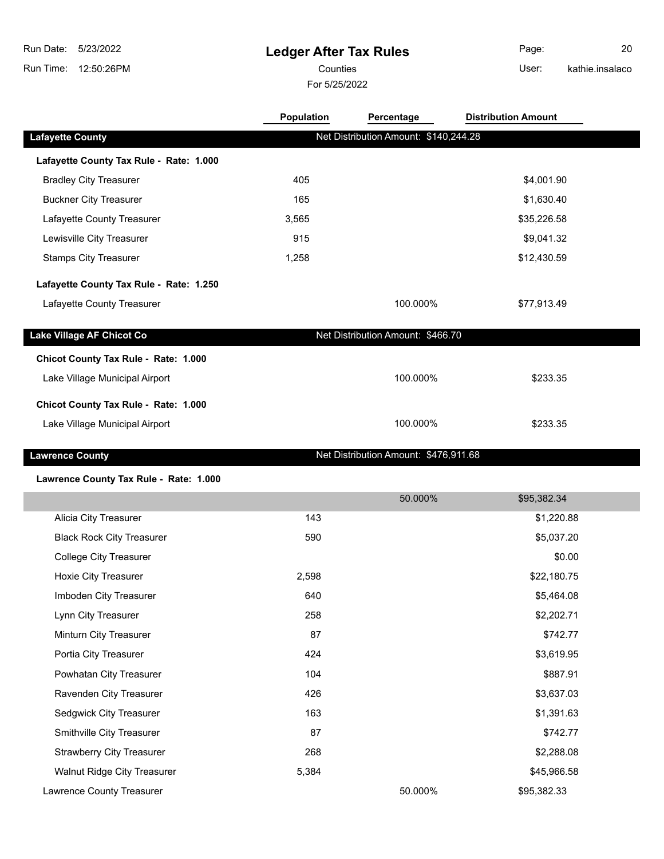# **Ledger After Tax Rules**

For 5/25/2022 Counties **User:** 

Page: 20 kathie.insalaco

|                                         | Population | Percentage                            | <b>Distribution Amount</b> |  |
|-----------------------------------------|------------|---------------------------------------|----------------------------|--|
| <b>Lafayette County</b>                 |            | Net Distribution Amount: \$140,244.28 |                            |  |
| Lafayette County Tax Rule - Rate: 1.000 |            |                                       |                            |  |
| <b>Bradley City Treasurer</b>           | 405        |                                       | \$4,001.90                 |  |
| <b>Buckner City Treasurer</b>           | 165        |                                       | \$1,630.40                 |  |
| Lafayette County Treasurer              | 3,565      |                                       | \$35,226.58                |  |
| Lewisville City Treasurer               | 915        |                                       | \$9,041.32                 |  |
| <b>Stamps City Treasurer</b>            | 1,258      |                                       | \$12,430.59                |  |
| Lafayette County Tax Rule - Rate: 1.250 |            |                                       |                            |  |
| Lafayette County Treasurer              |            | 100.000%                              | \$77,913.49                |  |
| Lake Village AF Chicot Co               |            | Net Distribution Amount: \$466.70     |                            |  |
|                                         |            |                                       |                            |  |
| Chicot County Tax Rule - Rate: 1.000    |            |                                       |                            |  |
| Lake Village Municipal Airport          |            | 100.000%                              | \$233.35                   |  |
| Chicot County Tax Rule - Rate: 1.000    |            |                                       |                            |  |
| Lake Village Municipal Airport          |            | 100.000%                              | \$233.35                   |  |
| <b>Lawrence County</b>                  |            | Net Distribution Amount: \$476,911.68 |                            |  |
|                                         |            |                                       |                            |  |
| Lawrence County Tax Rule - Rate: 1.000  |            | 50.000%                               | \$95,382.34                |  |
| Alicia City Treasurer                   | 143        |                                       | \$1,220.88                 |  |
| <b>Black Rock City Treasurer</b>        | 590        |                                       | \$5,037.20                 |  |
| <b>College City Treasurer</b>           |            |                                       | \$0.00                     |  |
| Hoxie City Treasurer                    | 2,598      |                                       | \$22,180.75                |  |
| Imboden City Treasurer                  | 640        |                                       | \$5,464.08                 |  |
| Lynn City Treasurer                     | 258        |                                       | \$2,202.71                 |  |
| Minturn City Treasurer                  | 87         |                                       | \$742.77                   |  |
| Portia City Treasurer                   | 424        |                                       | \$3,619.95                 |  |
| Powhatan City Treasurer                 | 104        |                                       | \$887.91                   |  |
| Ravenden City Treasurer                 | 426        |                                       | \$3,637.03                 |  |
| Sedgwick City Treasurer                 | 163        |                                       | \$1,391.63                 |  |
| Smithville City Treasurer               | 87         |                                       | \$742.77                   |  |
| <b>Strawberry City Treasurer</b>        | 268        |                                       | \$2,288.08                 |  |
| Walnut Ridge City Treasurer             |            |                                       |                            |  |
|                                         | 5,384      |                                       | \$45,966.58                |  |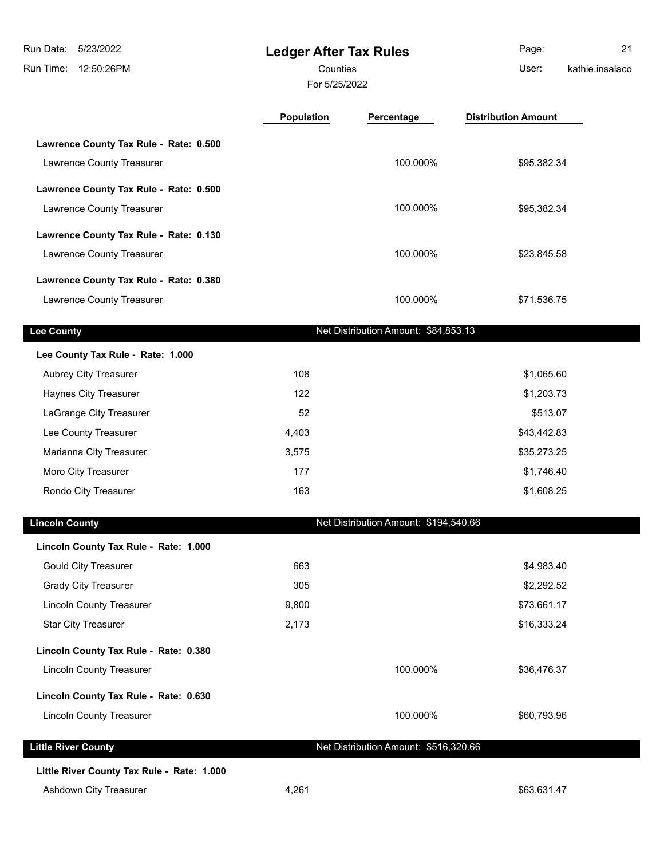**Ledger After Tax Rules** Run Time: 12:50:26PM 5/23/2022 Run Date: For 5/25/2022 Counties User:

|                                        | <b>Population</b> | Percentage | <b>Distribution Amount</b> |
|----------------------------------------|-------------------|------------|----------------------------|
| Lawrence County Tax Rule - Rate: 0.500 |                   |            |                            |
| Lawrence County Treasurer              |                   | 100.000%   | \$95,382.34                |
| Lawrence County Tax Rule - Rate: 0.500 |                   |            |                            |
| Lawrence County Treasurer              |                   | 100.000%   | \$95,382.34                |
| Lawrence County Tax Rule - Rate: 0.130 |                   |            |                            |
| Lawrence County Treasurer              |                   | 100.000%   | \$23,845.58                |
| Lawrence County Tax Rule - Rate: 0.380 |                   |            |                            |
| Lawrence County Treasurer              |                   | 100.000%   | \$71,536.75                |

|  |  | county |  |  |
|--|--|--------|--|--|
|  |  |        |  |  |

**Net Distribution Amount: \$84,853.13** 

| Lee County Tax Rule - Rate: 1.000 |       |             |
|-----------------------------------|-------|-------------|
| <b>Aubrey City Treasurer</b>      | 108   | \$1,065.60  |
| <b>Haynes City Treasurer</b>      | 122   | \$1,203.73  |
| LaGrange City Treasurer           | 52    | \$513.07    |
| Lee County Treasurer              | 4.403 | \$43,442.83 |
| Marianna City Treasurer           | 3.575 | \$35,273.25 |
|                                   |       |             |

| Marianna City Treasurer | 3.575 | \$35,273.25 |
|-------------------------|-------|-------------|
| Moro City Treasurer     |       | \$1.746.40  |
| Rondo City Treasurer    | 163   | \$1,608.25  |

Net Distribution Amount: \$194,540.66

| Lincoln County Tax Rule - Rate: 1.000 |       |                                       |             |
|---------------------------------------|-------|---------------------------------------|-------------|
| <b>Gould City Treasurer</b>           | 663   |                                       | \$4,983.40  |
| <b>Grady City Treasurer</b>           | 305   |                                       | \$2,292.52  |
| <b>Lincoln County Treasurer</b>       | 9,800 |                                       | \$73,661.17 |
| <b>Star City Treasurer</b>            | 2,173 |                                       | \$16,333.24 |
| Lincoln County Tax Rule - Rate: 0.380 |       |                                       |             |
| <b>Lincoln County Treasurer</b>       |       | 100.000%                              | \$36,476.37 |
| Lincoln County Tax Rule - Rate: 0.630 |       |                                       |             |
| <b>Lincoln County Treasurer</b>       |       | 100.000%                              | \$60,793.96 |
| <b>Little River County</b>            |       | Net Distribution Amount: \$516,320.66 |             |
|                                       |       |                                       |             |

**Little River County Tax Rule - Rate: 1.000**

Ashdown City Treasurer and the state of the 4,261  $\bullet$  4,261  $\bullet$  563,631.47

Page: 21

kathie.insalaco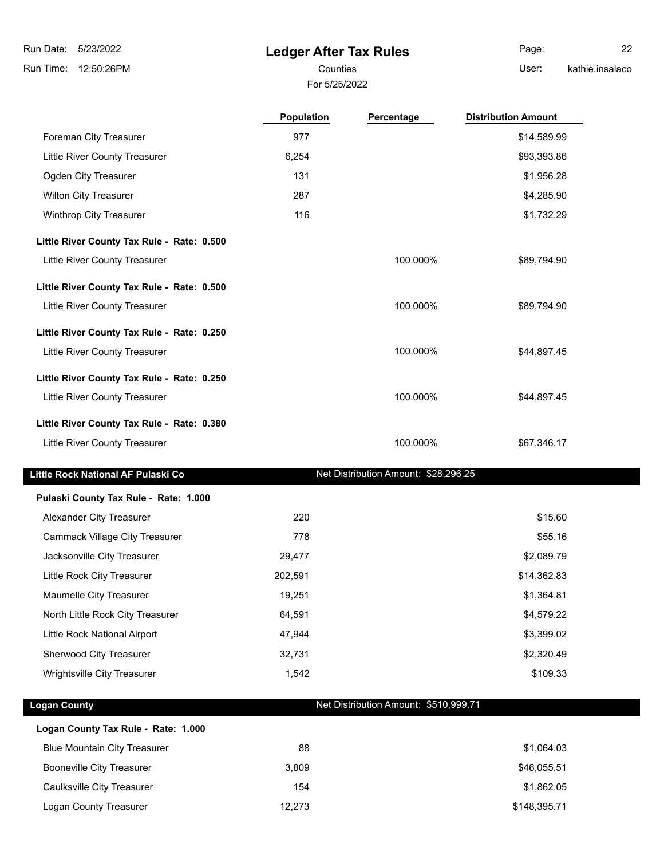### **Ledger After Tax Rules**

Counties User:

**Population Percentage Distribution Amount**

Page: 22 kathie.insalaco

For 5/25/2022

| Foreman City Treasurer                     | 977   |          | \$14,589.99 |
|--------------------------------------------|-------|----------|-------------|
| Little River County Treasurer              | 6,254 |          | \$93,393.86 |
| Ogden City Treasurer                       | 131   |          | \$1,956.28  |
| <b>Wilton City Treasurer</b>               | 287   |          | \$4,285.90  |
| <b>Winthrop City Treasurer</b>             | 116   |          | \$1,732.29  |
| Little River County Tax Rule - Rate: 0.500 |       |          |             |
| <b>Little River County Treasurer</b>       |       | 100.000% | \$89,794.90 |
| Little River County Tax Rule - Rate: 0.500 |       |          |             |
| Little River County Treasurer              |       | 100.000% | \$89,794.90 |
| Little River County Tax Rule - Rate: 0.250 |       |          |             |
| Little River County Treasurer              |       | 100.000% | \$44,897.45 |
| Little River County Tax Rule - Rate: 0.250 |       |          |             |
| Little River County Treasurer              |       | 100.000% | \$44,897.45 |

# **Little River County Tax Rule - Rate: 0.380** Little River County Treasurer **100.000%** \$67,346.17

#### Little Rock National AF Pulaski Co **Net Distribution Amount: \$28,296.25**

| Pulaski County Tax Rule - Rate: 1.000 |         |             |
|---------------------------------------|---------|-------------|
| Alexander City Treasurer              | 220     | \$15.60     |
| Cammack Village City Treasurer        | 778     | \$55.16     |
| Jacksonville City Treasurer           | 29.477  | \$2,089.79  |
| Little Rock City Treasurer            | 202,591 | \$14,362.83 |
| Maumelle City Treasurer               | 19.251  | \$1,364.81  |
| North Little Rock City Treasurer      | 64,591  | \$4,579.22  |
| Little Rock National Airport          | 47,944  | \$3,399.02  |
| Sherwood City Treasurer               | 32,731  | \$2,320.49  |
| <b>Wrightsville City Treasurer</b>    | 1.542   | \$109.33    |

#### **Logan County Net Distribution Amount: \$510,999.71**

| Logan County Tax Rule - Rate: 1.000 |        |              |
|-------------------------------------|--------|--------------|
| <b>Blue Mountain City Treasurer</b> | 88     | \$1,064.03   |
| <b>Booneville City Treasurer</b>    | 3.809  | \$46,055.51  |
| Caulksville City Treasurer          | 154    | \$1,862.05   |
| Logan County Treasurer              | 12,273 | \$148,395.71 |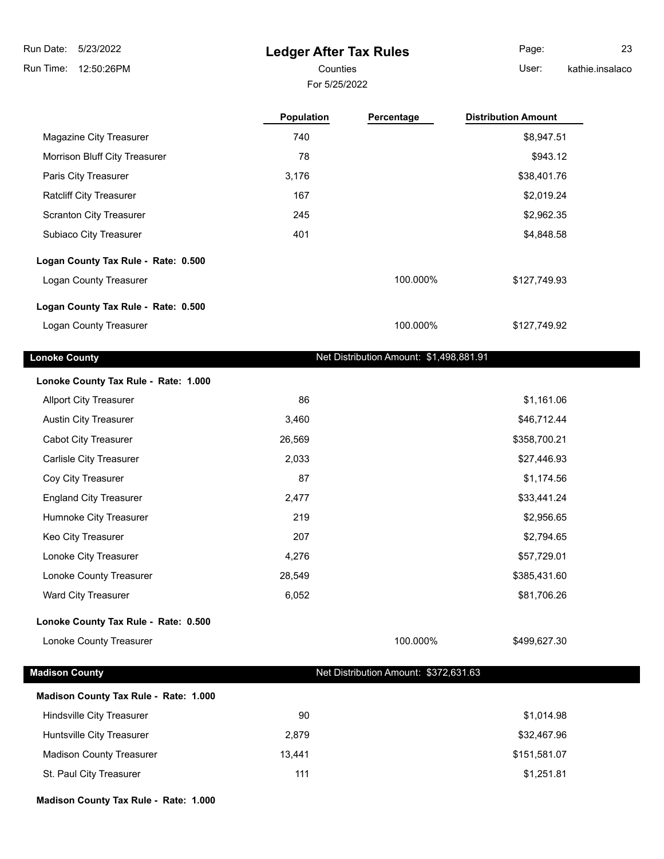### **Ledger After Tax Rules**

For 5/25/2022

Counties **Counties** User: Page: 23

kathie.insalaco

|                                       | <b>Population</b> | Percentage                              | <b>Distribution Amount</b> |
|---------------------------------------|-------------------|-----------------------------------------|----------------------------|
| Magazine City Treasurer               | 740               |                                         | \$8,947.51                 |
| Morrison Bluff City Treasurer         | 78                |                                         | \$943.12                   |
| Paris City Treasurer                  | 3,176             |                                         | \$38,401.76                |
| Ratcliff City Treasurer               | 167               |                                         | \$2,019.24                 |
| <b>Scranton City Treasurer</b>        | 245               |                                         | \$2,962.35                 |
| Subiaco City Treasurer                | 401               |                                         | \$4,848.58                 |
| Logan County Tax Rule - Rate: 0.500   |                   |                                         |                            |
| Logan County Treasurer                |                   | 100.000%                                | \$127,749.93               |
| Logan County Tax Rule - Rate: 0.500   |                   |                                         |                            |
| Logan County Treasurer                |                   | 100.000%                                | \$127,749.92               |
| <b>Lonoke County</b>                  |                   | Net Distribution Amount: \$1,498,881.91 |                            |
| Lonoke County Tax Rule - Rate: 1.000  |                   |                                         |                            |
| <b>Allport City Treasurer</b>         | 86                |                                         | \$1,161.06                 |
| <b>Austin City Treasurer</b>          | 3,460             |                                         | \$46,712.44                |
| <b>Cabot City Treasurer</b>           | 26,569            |                                         | \$358,700.21               |
| Carlisle City Treasurer               | 2,033             |                                         | \$27,446.93                |
| Coy City Treasurer                    | 87                |                                         | \$1,174.56                 |
| <b>England City Treasurer</b>         | 2,477             |                                         | \$33,441.24                |
| Humnoke City Treasurer                | 219               |                                         | \$2,956.65                 |
| Keo City Treasurer                    | 207               |                                         | \$2,794.65                 |
| Lonoke City Treasurer                 | 4,276             |                                         | \$57,729.01                |
| Lonoke County Treasurer               | 28,549            |                                         | \$385,431.60               |
| Ward City Treasurer                   | 6,052             |                                         | \$81,706.26                |
| Lonoke County Tax Rule - Rate: 0.500  |                   |                                         |                            |
| Lonoke County Treasurer               |                   | 100.000%                                | \$499,627.30               |
| <b>Madison County</b>                 |                   | Net Distribution Amount: \$372,631.63   |                            |
| Madison County Tax Rule - Rate: 1.000 |                   |                                         |                            |
| Hindsville City Treasurer             | 90                |                                         | \$1,014.98                 |
| Huntsville City Treasurer             | 2,879             |                                         | \$32,467.96                |

Madison County Treasurer 13,441 13,441 5151,581.07 St. Paul City Treasurer 111 **11 111 111 111 111 111 111 111 111**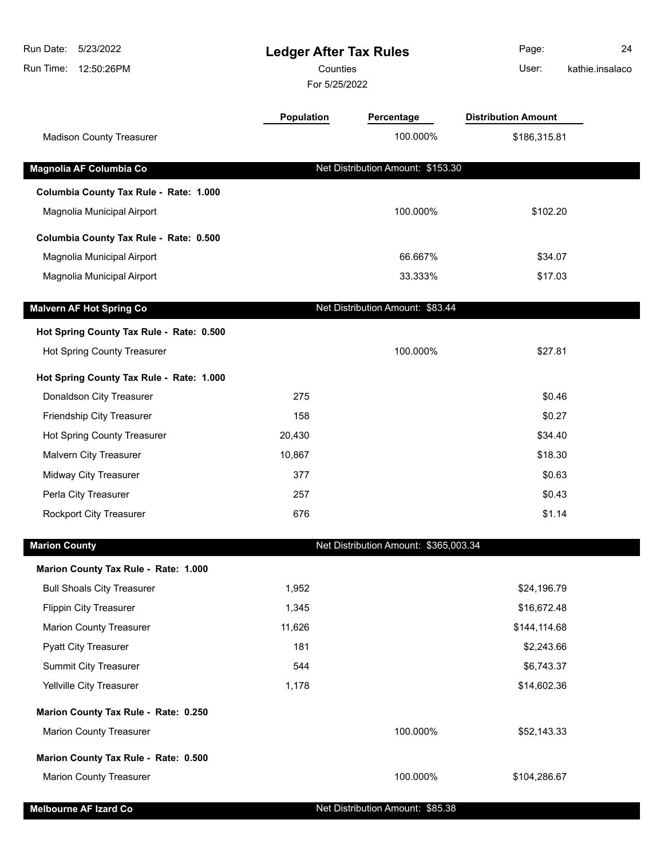| Run Date:<br>5/23/2022<br>12:50:26PM<br>Run Time:                      | <b>Ledger After Tax Rules</b><br>Counties |                                       | Page:<br>User:             | 24<br>kathie.insalaco |
|------------------------------------------------------------------------|-------------------------------------------|---------------------------------------|----------------------------|-----------------------|
|                                                                        | For 5/25/2022                             |                                       |                            |                       |
|                                                                        | <b>Population</b>                         | Percentage                            | <b>Distribution Amount</b> |                       |
| <b>Madison County Treasurer</b>                                        |                                           | 100.000%                              | \$186,315.81               |                       |
|                                                                        |                                           |                                       |                            |                       |
| Magnolia AF Columbia Co                                                |                                           | Net Distribution Amount: \$153.30     |                            |                       |
| Columbia County Tax Rule - Rate: 1.000                                 |                                           |                                       |                            |                       |
| Magnolia Municipal Airport                                             |                                           | 100.000%                              | \$102.20                   |                       |
| Columbia County Tax Rule - Rate: 0.500                                 |                                           |                                       |                            |                       |
| Magnolia Municipal Airport                                             |                                           | 66.667%                               | \$34.07                    |                       |
| Magnolia Municipal Airport                                             |                                           | 33.333%                               | \$17.03                    |                       |
| <b>Malvern AF Hot Spring Co</b>                                        |                                           | Net Distribution Amount: \$83.44      |                            |                       |
| Hot Spring County Tax Rule - Rate: 0.500                               |                                           |                                       |                            |                       |
| Hot Spring County Treasurer                                            |                                           | 100.000%                              | \$27.81                    |                       |
| Hot Spring County Tax Rule - Rate: 1.000                               |                                           |                                       |                            |                       |
| Donaldson City Treasurer                                               | 275                                       |                                       | \$0.46                     |                       |
| Friendship City Treasurer                                              | 158                                       |                                       | \$0.27                     |                       |
| Hot Spring County Treasurer                                            | 20,430                                    |                                       | \$34.40                    |                       |
| Malvern City Treasurer                                                 | 10,867                                    |                                       | \$18.30                    |                       |
| <b>Midway City Treasurer</b>                                           | 377                                       |                                       | \$0.63                     |                       |
| Perla City Treasurer                                                   | 257                                       |                                       | \$0.43                     |                       |
| Rockport City Treasurer                                                | 676                                       |                                       | \$1.14                     |                       |
| <b>Marion County</b>                                                   |                                           | Net Distribution Amount: \$365,003.34 |                            |                       |
| Marion County Tax Rule - Rate: 1.000                                   |                                           |                                       |                            |                       |
| <b>Bull Shoals City Treasurer</b>                                      | 1,952                                     |                                       | \$24,196.79                |                       |
| <b>Flippin City Treasurer</b>                                          | 1,345                                     |                                       | \$16,672.48                |                       |
| <b>Marion County Treasurer</b>                                         | 11,626                                    |                                       | \$144,114.68               |                       |
| <b>Pyatt City Treasurer</b>                                            | 181                                       |                                       | \$2,243.66                 |                       |
| Summit City Treasurer                                                  | 544                                       |                                       | \$6,743.37                 |                       |
| Yellville City Treasurer                                               | 1,178                                     |                                       | \$14,602.36                |                       |
|                                                                        |                                           |                                       |                            |                       |
| Marion County Tax Rule - Rate: 0.250<br><b>Marion County Treasurer</b> |                                           | 100.000%                              | \$52,143.33                |                       |
|                                                                        |                                           |                                       |                            |                       |
| Marion County Tax Rule - Rate: 0.500                                   |                                           |                                       |                            |                       |
| <b>Marion County Treasurer</b>                                         |                                           | 100.000%                              | \$104,286.67               |                       |

**Melbourne AF Izard Co Net Distribution Amount: \$85.38**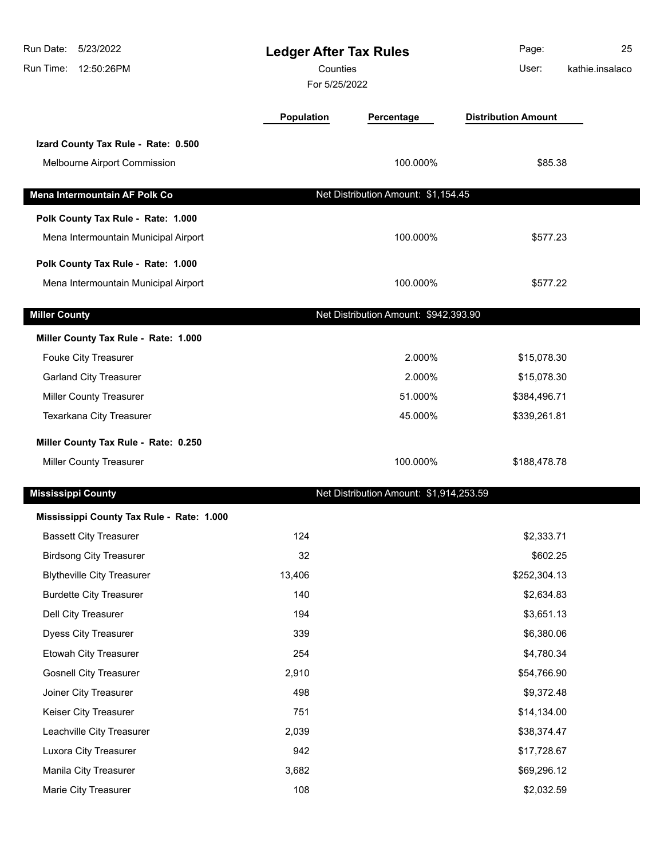| Run Date: 5/23/2022<br>Run Time:<br>12:50:26PM | <b>Ledger After Tax Rules</b><br>Counties<br>For 5/25/2022 |                                         | Page:<br>User:             | 25<br>kathie.insalaco |
|------------------------------------------------|------------------------------------------------------------|-----------------------------------------|----------------------------|-----------------------|
|                                                | <b>Population</b>                                          | Percentage                              | <b>Distribution Amount</b> |                       |
| Izard County Tax Rule - Rate: 0.500            |                                                            |                                         |                            |                       |
| Melbourne Airport Commission                   |                                                            | 100.000%                                | \$85.38                    |                       |
| Mena Intermountain AF Polk Co                  |                                                            | Net Distribution Amount: \$1,154.45     |                            |                       |
| Polk County Tax Rule - Rate: 1.000             |                                                            |                                         |                            |                       |
| Mena Intermountain Municipal Airport           |                                                            | 100.000%                                | \$577.23                   |                       |
| Polk County Tax Rule - Rate: 1.000             |                                                            |                                         |                            |                       |
| Mena Intermountain Municipal Airport           |                                                            | 100.000%                                | \$577.22                   |                       |
| <b>Miller County</b>                           |                                                            | Net Distribution Amount: \$942,393.90   |                            |                       |
| Miller County Tax Rule - Rate: 1.000           |                                                            |                                         |                            |                       |
| Fouke City Treasurer                           |                                                            | 2.000%                                  | \$15,078.30                |                       |
| <b>Garland City Treasurer</b>                  |                                                            | 2.000%                                  | \$15,078.30                |                       |
| <b>Miller County Treasurer</b>                 |                                                            | 51.000%                                 | \$384,496.71               |                       |
| Texarkana City Treasurer                       |                                                            | 45.000%                                 | \$339,261.81               |                       |
| Miller County Tax Rule - Rate: 0.250           |                                                            |                                         |                            |                       |
| <b>Miller County Treasurer</b>                 |                                                            | 100.000%                                | \$188,478.78               |                       |
| <b>Mississippi County</b>                      |                                                            | Net Distribution Amount: \$1,914,253.59 |                            |                       |
| Mississippi County Tax Rule - Rate: 1.000      |                                                            |                                         |                            |                       |
| <b>Bassett City Treasurer</b>                  | 124                                                        |                                         | \$2,333.71                 |                       |
| <b>Birdsong City Treasurer</b>                 | 32                                                         |                                         | \$602.25                   |                       |
| <b>Blytheville City Treasurer</b>              | 13,406                                                     |                                         | \$252,304.13               |                       |
| <b>Burdette City Treasurer</b>                 | 140                                                        |                                         | \$2,634.83                 |                       |
| Dell City Treasurer                            | 194                                                        |                                         | \$3,651.13                 |                       |
| Dyess City Treasurer                           | 339                                                        |                                         | \$6,380.06                 |                       |
| <b>Etowah City Treasurer</b>                   | 254                                                        |                                         | \$4,780.34                 |                       |
| <b>Gosnell City Treasurer</b>                  | 2,910                                                      |                                         | \$54,766.90                |                       |
| Joiner City Treasurer                          | 498                                                        |                                         | \$9,372.48                 |                       |
| Keiser City Treasurer                          | 751                                                        |                                         | \$14,134.00                |                       |
| Leachville City Treasurer                      | 2,039                                                      |                                         | \$38,374.47                |                       |
| Luxora City Treasurer                          | 942                                                        |                                         | \$17,728.67                |                       |
| Manila City Treasurer                          | 3,682                                                      |                                         | \$69,296.12                |                       |
| Marie City Treasurer                           | 108                                                        |                                         | \$2,032.59                 |                       |
|                                                |                                                            |                                         |                            |                       |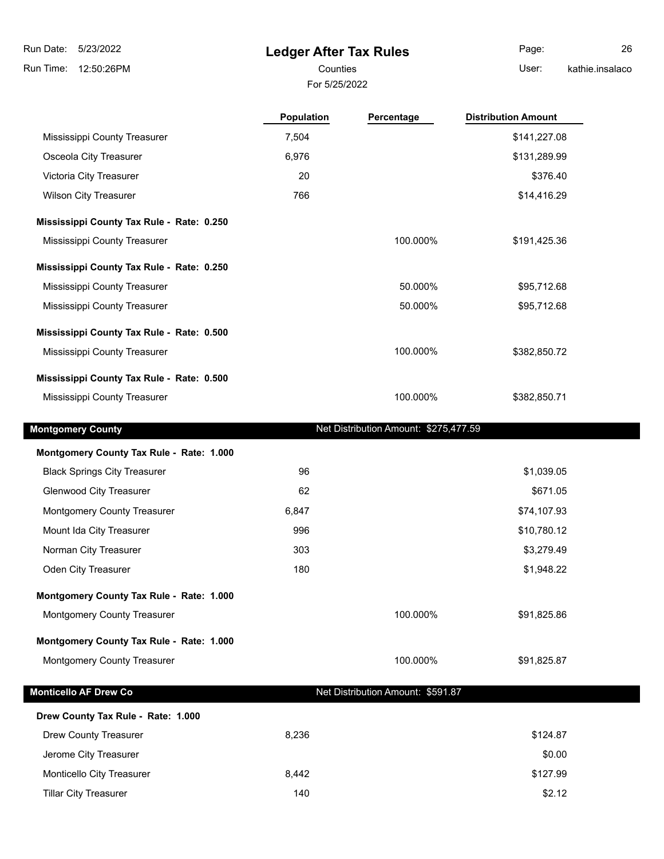l.

## **Ledger After Tax Rules**

For 5/25/2022

Counties **User:** 

Page: 26 kathie.insalaco

|                                           | <b>Population</b> | Percentage                            | <b>Distribution Amount</b> |
|-------------------------------------------|-------------------|---------------------------------------|----------------------------|
| Mississippi County Treasurer              | 7,504             |                                       | \$141,227.08               |
| Osceola City Treasurer                    | 6,976             |                                       | \$131,289.99               |
| Victoria City Treasurer                   | 20                |                                       | \$376.40                   |
| <b>Wilson City Treasurer</b>              | 766               |                                       | \$14,416.29                |
| Mississippi County Tax Rule - Rate: 0.250 |                   |                                       |                            |
| Mississippi County Treasurer              |                   | 100.000%                              | \$191,425.36               |
| Mississippi County Tax Rule - Rate: 0.250 |                   |                                       |                            |
| Mississippi County Treasurer              |                   | 50.000%                               | \$95,712.68                |
| Mississippi County Treasurer              |                   | 50.000%                               | \$95,712.68                |
| Mississippi County Tax Rule - Rate: 0.500 |                   |                                       |                            |
| Mississippi County Treasurer              |                   | 100.000%                              | \$382,850.72               |
| Mississippi County Tax Rule - Rate: 0.500 |                   |                                       |                            |
| Mississippi County Treasurer              |                   | 100.000%                              | \$382,850.71               |
| <b>Montgomery County</b>                  |                   | Net Distribution Amount: \$275,477.59 |                            |
| Montgomery County Tax Rule - Rate: 1.000  |                   |                                       |                            |
| <b>Black Springs City Treasurer</b>       | 96                |                                       | \$1,039.05                 |
| Glenwood City Treasurer                   | 62                |                                       | \$671.05                   |
| Montgomery County Treasurer               | 6,847             |                                       | \$74,107.93                |
| Mount Ida City Treasurer                  | 996               |                                       | \$10,780.12                |
| Norman City Treasurer                     | 303               |                                       | \$3,279.49                 |
| Oden City Treasurer                       | 180               |                                       | \$1,948.22                 |
| Montgomery County Tax Rule - Rate: 1.000  |                   |                                       |                            |
| Montgomery County Treasurer               |                   | 100.000%                              | \$91,825.86                |
| Montgomery County Tax Rule - Rate: 1.000  |                   |                                       |                            |
| Montgomery County Treasurer               |                   | 100.000%                              | \$91,825.87                |
| Monticello AF Drew Co                     |                   | Net Distribution Amount: \$591.87     |                            |
|                                           |                   |                                       |                            |
| Drew County Tax Rule - Rate: 1.000        |                   |                                       |                            |
| <b>Drew County Treasurer</b>              | 8,236             |                                       | \$124.87                   |
| Jerome City Treasurer                     |                   |                                       | \$0.00                     |
| Monticello City Treasurer                 | 8,442             |                                       | \$127.99                   |
| <b>Tillar City Treasurer</b>              | 140               |                                       | \$2.12                     |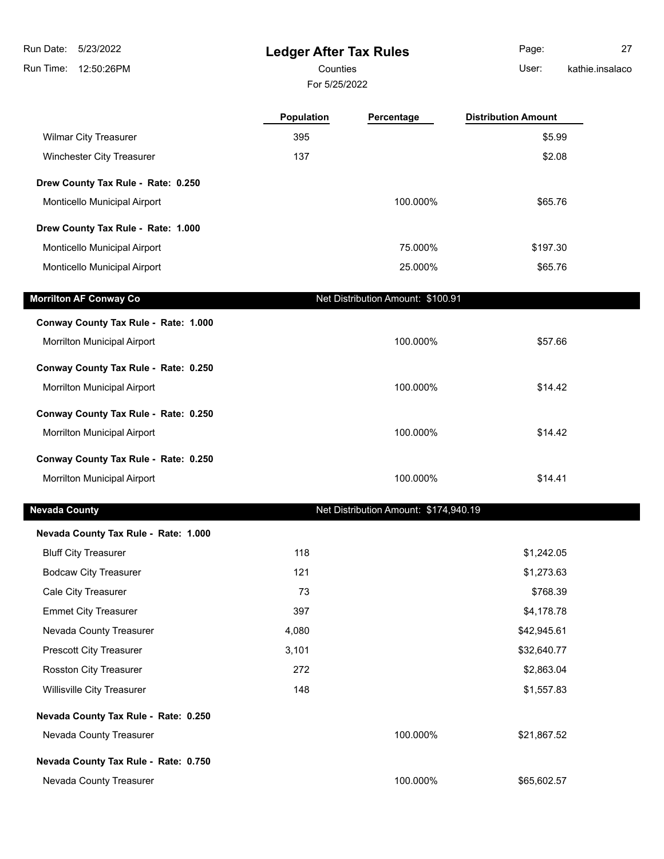**Ledger After Tax Rules** 5/23/2022 Run Date:

Run Time: 12:50:26PM

# Counties **User:**

For 5/25/2022

Page: 27 kathie.insalaco

|                                      | <b>Population</b> | Percentage                            | <b>Distribution Amount</b> |  |
|--------------------------------------|-------------------|---------------------------------------|----------------------------|--|
| <b>Wilmar City Treasurer</b>         | 395               |                                       | \$5.99                     |  |
| Winchester City Treasurer            | 137               |                                       | \$2.08                     |  |
| Drew County Tax Rule - Rate: 0.250   |                   |                                       |                            |  |
| Monticello Municipal Airport         |                   | 100.000%                              | \$65.76                    |  |
| Drew County Tax Rule - Rate: 1.000   |                   |                                       |                            |  |
| Monticello Municipal Airport         |                   | 75.000%                               | \$197.30                   |  |
| Monticello Municipal Airport         |                   | 25.000%                               | \$65.76                    |  |
| <b>Morrilton AF Conway Co</b>        |                   | Net Distribution Amount: \$100.91     |                            |  |
| Conway County Tax Rule - Rate: 1.000 |                   |                                       |                            |  |
| Morrilton Municipal Airport          |                   | 100.000%                              | \$57.66                    |  |
| Conway County Tax Rule - Rate: 0.250 |                   |                                       |                            |  |
| Morrilton Municipal Airport          |                   | 100.000%                              | \$14.42                    |  |
|                                      |                   |                                       |                            |  |
| Conway County Tax Rule - Rate: 0.250 |                   |                                       |                            |  |
| Morrilton Municipal Airport          |                   | 100.000%                              | \$14.42                    |  |
| Conway County Tax Rule - Rate: 0.250 |                   |                                       |                            |  |
| Morrilton Municipal Airport          |                   | 100.000%                              | \$14.41                    |  |
| <b>Nevada County</b>                 |                   | Net Distribution Amount: \$174,940.19 |                            |  |
| Nevada County Tax Rule - Rate: 1.000 |                   |                                       |                            |  |
| <b>Bluff City Treasurer</b>          | 118               |                                       | \$1,242.05                 |  |
| <b>Bodcaw City Treasurer</b>         | 121               |                                       | \$1,273.63                 |  |
| Cale City Treasurer                  | 73                |                                       | \$768.39                   |  |
| <b>Emmet City Treasurer</b>          | 397               |                                       | \$4,178.78                 |  |
| Nevada County Treasurer              | 4,080             |                                       | \$42,945.61                |  |
| Prescott City Treasurer              | 3,101             |                                       | \$32,640.77                |  |
| Rosston City Treasurer               | 272               |                                       | \$2,863.04                 |  |
| Willisville City Treasurer           | 148               |                                       | \$1,557.83                 |  |
| Nevada County Tax Rule - Rate: 0.250 |                   |                                       |                            |  |
| Nevada County Treasurer              |                   | 100.000%                              | \$21,867.52                |  |

#### **Nevada County Tax Rule - Rate: 0.750**

Nevada County Treasurer 100.000% \$65,602.57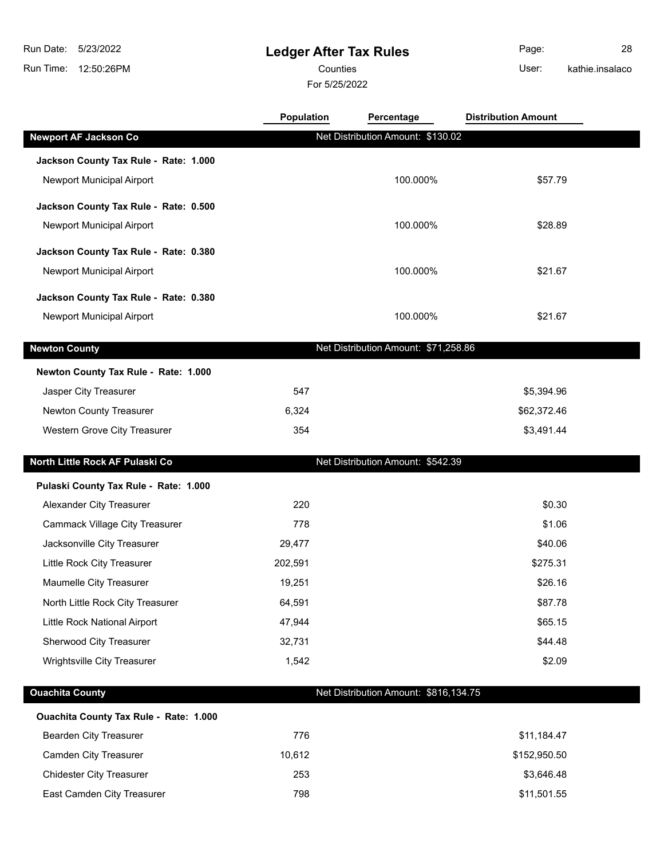## **Ledger After Tax Rules**

Counties **User:** 

For 5/25/2022

Page: 28 kathie.insalaco

|                                        | <b>Population</b> | Percentage                            | <b>Distribution Amount</b> |  |
|----------------------------------------|-------------------|---------------------------------------|----------------------------|--|
| <b>Newport AF Jackson Co</b>           |                   | Net Distribution Amount: \$130.02     |                            |  |
| Jackson County Tax Rule - Rate: 1.000  |                   |                                       |                            |  |
| Newport Municipal Airport              |                   | 100.000%                              | \$57.79                    |  |
| Jackson County Tax Rule - Rate: 0.500  |                   |                                       |                            |  |
| Newport Municipal Airport              |                   | 100.000%                              | \$28.89                    |  |
| Jackson County Tax Rule - Rate: 0.380  |                   |                                       |                            |  |
| Newport Municipal Airport              |                   | 100.000%                              | \$21.67                    |  |
| Jackson County Tax Rule - Rate: 0.380  |                   |                                       |                            |  |
| Newport Municipal Airport              |                   | 100.000%                              | \$21.67                    |  |
| <b>Newton County</b>                   |                   | Net Distribution Amount: \$71,258.86  |                            |  |
| Newton County Tax Rule - Rate: 1.000   |                   |                                       |                            |  |
| Jasper City Treasurer                  | 547               |                                       | \$5,394.96                 |  |
| Newton County Treasurer                | 6,324             |                                       | \$62,372.46                |  |
| Western Grove City Treasurer           | 354               |                                       | \$3,491.44                 |  |
| North Little Rock AF Pulaski Co        |                   | Net Distribution Amount: \$542.39     |                            |  |
| Pulaski County Tax Rule - Rate: 1.000  |                   |                                       |                            |  |
| Alexander City Treasurer               | 220               |                                       | \$0.30                     |  |
| <b>Cammack Village City Treasurer</b>  | 778               |                                       | \$1.06                     |  |
| Jacksonville City Treasurer            | 29,477            |                                       | \$40.06                    |  |
| Little Rock City Treasurer             | 202,591           |                                       | \$275.31                   |  |
| Maumelle City Treasurer                | 19,251            |                                       | \$26.16                    |  |
| North Little Rock City Treasurer       | 64,591            |                                       | \$87.78                    |  |
| Little Rock National Airport           | 47,944            |                                       | \$65.15                    |  |
| Sherwood City Treasurer                | 32,731            |                                       | \$44.48                    |  |
| Wrightsville City Treasurer            | 1,542             |                                       | \$2.09                     |  |
| <b>Ouachita County</b>                 |                   | Net Distribution Amount: \$816,134.75 |                            |  |
| Ouachita County Tax Rule - Rate: 1.000 |                   |                                       |                            |  |
| <b>Bearden City Treasurer</b>          | 776               |                                       | \$11,184.47                |  |
| <b>Camden City Treasurer</b>           | 10,612            |                                       | \$152,950.50               |  |
| <b>Chidester City Treasurer</b>        | 253               |                                       | \$3,646.48                 |  |

East Camden City Treasurer 198 1798 1998 11,501.55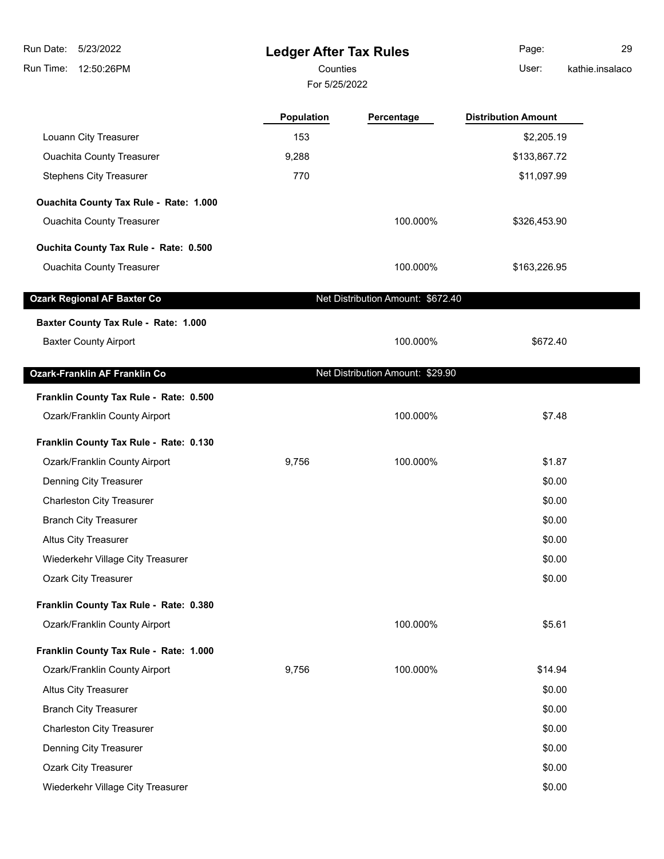**Ledger After Tax Rules** Run Time: 12:50:26PM 5/23/2022 Run Date: For 5/25/2022 Counties **Counties** User: Page: 29 kathie.insalaco **Population Percentage Distribution Amount** Louann City Treasurer 153 **153** \$2,205.19 \$2,205.19 \$2,205.19 \$2,205.19 \$2,205.19 Ouachita County Treasurer 1992 10:00 10:00 10:00 10:00 10:00 10:00 10:00 10:00 10:00 10:00 10:00 10:00 10:00 1 Stephens City Treasurer **1988 Stephens City Treasurer 1997.99 \$11,097.99 Ouachita County Tax Rule - Rate: 1.000** Ouachita County Treasurer **100.000%** \$326,453.90 **Ouchita County Tax Rule - Rate: 0.500** Ouachita County Treasurer 100.000% \$163,226.95 **Ozark Regional AF Baxter Co** Net Distribution Amount: \$672.40 **Baxter County Tax Rule - Rate: 1.000** Baxter County Airport 6000000 100.000% \$672.40 **Ozark-Franklin AF Franklin Co** Net Distribution Amount: \$29.90 **Franklin County Tax Rule - Rate: 0.500** Ozark/Franklin County Airport 100.000% \$7.48 **Franklin County Tax Rule - Rate: 0.130** Ozark/Franklin County Airport 9,756 100.000% \$1.87 Denning City Treasurer \$0.00 Charleston City Treasurer  $$0.00$ Branch City Treasurer  $$0.00$ Altus City Treasurer  $$0.00$ Wiederkehr Village City Treasurer \$0.00 Ozark City Treasurer \$0.00 **Franklin County Tax Rule - Rate: 0.380** Ozark/Franklin County Airport 100.000% \$5.61 **Franklin County Tax Rule - Rate: 1.000** Ozark/Franklin County Airport 9,756 100.000% \$14.94 Altus City Treasurer  $$0.00$ Branch City Treasurer  $$0.00$ Charleston City Treasurer  $$0.00$ **Denning City Treasurer \$0.00 \$0.00** 

Ozark City Treasurer \$0.00

Wiederkehr Village City Treasurer  $$0.00$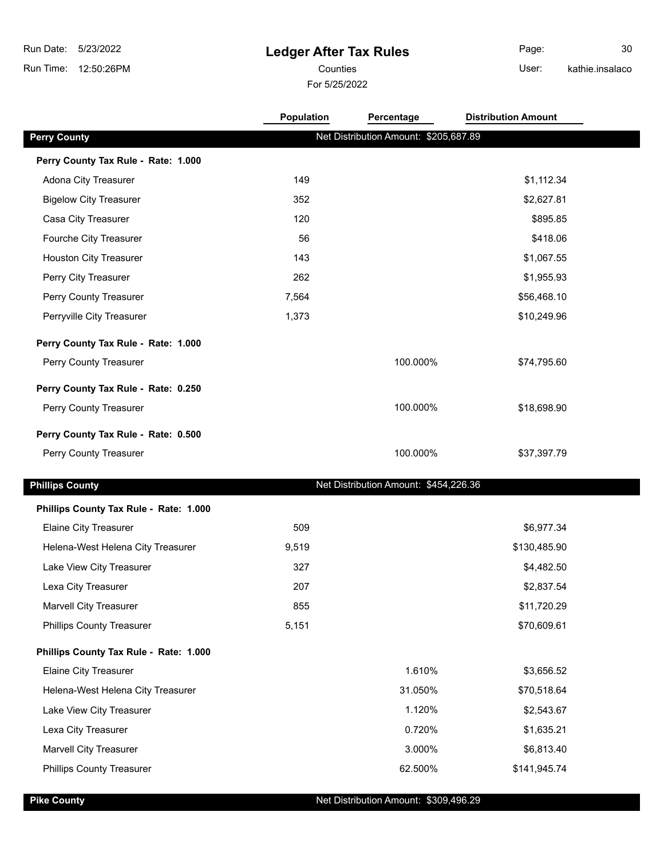## **Ledger After Tax Rules**

For 5/25/2022 Counties **User:** 

Page: 30 kathie.insalaco

|                                        | Population | Percentage                            | <b>Distribution Amount</b> |  |
|----------------------------------------|------------|---------------------------------------|----------------------------|--|
| <b>Perry County</b>                    |            | Net Distribution Amount: \$205,687.89 |                            |  |
| Perry County Tax Rule - Rate: 1.000    |            |                                       |                            |  |
| Adona City Treasurer                   | 149        |                                       | \$1,112.34                 |  |
| <b>Bigelow City Treasurer</b>          | 352        |                                       | \$2,627.81                 |  |
| Casa City Treasurer                    | 120        |                                       | \$895.85                   |  |
| Fourche City Treasurer                 | 56         |                                       | \$418.06                   |  |
| <b>Houston City Treasurer</b>          | 143        |                                       | \$1,067.55                 |  |
| Perry City Treasurer                   | 262        |                                       | \$1,955.93                 |  |
| Perry County Treasurer                 | 7,564      |                                       | \$56,468.10                |  |
| Perryville City Treasurer              | 1,373      |                                       | \$10,249.96                |  |
| Perry County Tax Rule - Rate: 1.000    |            |                                       |                            |  |
| Perry County Treasurer                 |            | 100.000%                              | \$74,795.60                |  |
| Perry County Tax Rule - Rate: 0.250    |            |                                       |                            |  |
| Perry County Treasurer                 |            | 100.000%                              | \$18,698.90                |  |
| Perry County Tax Rule - Rate: 0.500    |            |                                       |                            |  |
| Perry County Treasurer                 |            | 100.000%                              | \$37,397.79                |  |
| <b>Phillips County</b>                 |            | Net Distribution Amount: \$454,226.36 |                            |  |
| Phillips County Tax Rule - Rate: 1.000 |            |                                       |                            |  |
| <b>Elaine City Treasurer</b>           | 509        |                                       | \$6,977.34                 |  |
| Helena-West Helena City Treasurer      | 9,519      |                                       | \$130,485.90               |  |
| Lake View City Treasurer               | 327        |                                       | \$4,482.50                 |  |
| Lexa City Treasurer                    | 207        |                                       | \$2,837.54                 |  |
| <b>Marvell City Treasurer</b>          | 855        |                                       | \$11,720.29                |  |
| <b>Phillips County Treasurer</b>       | 5,151      |                                       | \$70,609.61                |  |
| Phillips County Tax Rule - Rate: 1.000 |            |                                       |                            |  |
| <b>Elaine City Treasurer</b>           |            | 1.610%                                | \$3,656.52                 |  |
| Helena-West Helena City Treasurer      |            | 31.050%                               | \$70,518.64                |  |
| Lake View City Treasurer               |            | 1.120%                                | \$2,543.67                 |  |
| Lexa City Treasurer                    |            | 0.720%                                | \$1,635.21                 |  |
| <b>Marvell City Treasurer</b>          |            | 3.000%                                | \$6,813.40                 |  |
| <b>Phillips County Treasurer</b>       |            | 62.500%                               | \$141,945.74               |  |
|                                        |            |                                       |                            |  |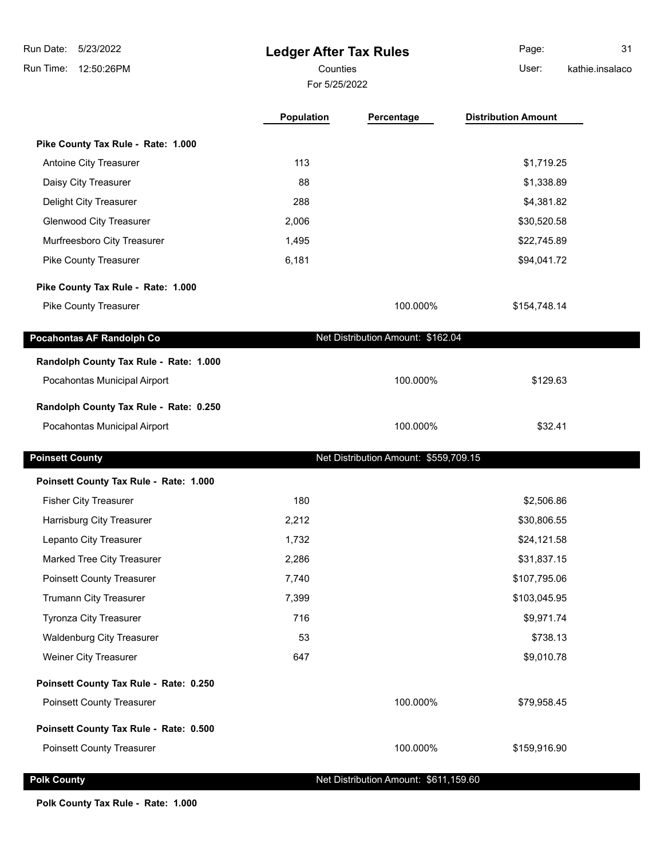| Run Date:<br>5/23/2022                 | <b>Ledger After Tax Rules</b> |                                       | Page:                      | 31              |
|----------------------------------------|-------------------------------|---------------------------------------|----------------------------|-----------------|
| 12:50:26PM<br>Run Time:                | Counties                      |                                       | User:                      | kathie.insalaco |
|                                        | For 5/25/2022                 |                                       |                            |                 |
|                                        | Population                    | Percentage                            | <b>Distribution Amount</b> |                 |
| Pike County Tax Rule - Rate: 1.000     |                               |                                       |                            |                 |
| Antoine City Treasurer                 | 113                           |                                       | \$1,719.25                 |                 |
| Daisy City Treasurer                   | 88                            |                                       | \$1,338.89                 |                 |
| Delight City Treasurer                 | 288                           |                                       | \$4,381.82                 |                 |
| <b>Glenwood City Treasurer</b>         | 2,006                         |                                       | \$30,520.58                |                 |
| Murfreesboro City Treasurer            | 1,495                         |                                       | \$22,745.89                |                 |
| Pike County Treasurer                  | 6,181                         |                                       | \$94,041.72                |                 |
| Pike County Tax Rule - Rate: 1.000     |                               |                                       |                            |                 |
| <b>Pike County Treasurer</b>           |                               | 100.000%                              | \$154,748.14               |                 |
| Pocahontas AF Randolph Co              |                               | Net Distribution Amount: \$162.04     |                            |                 |
| Randolph County Tax Rule - Rate: 1.000 |                               |                                       |                            |                 |
| Pocahontas Municipal Airport           |                               | 100.000%                              | \$129.63                   |                 |
| Randolph County Tax Rule - Rate: 0.250 |                               |                                       |                            |                 |
| Pocahontas Municipal Airport           |                               | 100.000%                              | \$32.41                    |                 |
| <b>Poinsett County</b>                 |                               | Net Distribution Amount: \$559,709.15 |                            |                 |
| Poinsett County Tax Rule - Rate: 1.000 |                               |                                       |                            |                 |
| <b>Fisher City Treasurer</b>           | 180                           |                                       | \$2,506.86                 |                 |
| Harrisburg City Treasurer              | 2,212                         |                                       | \$30,806.55                |                 |
| Lepanto City Treasurer                 | 1,732                         |                                       | \$24,121.58                |                 |
| Marked Tree City Treasurer             | 2,286                         |                                       | \$31,837.15                |                 |
| <b>Poinsett County Treasurer</b>       | 7,740                         |                                       | \$107,795.06               |                 |
| Trumann City Treasurer                 | 7,399                         |                                       | \$103,045.95               |                 |
| <b>Tyronza City Treasurer</b>          | 716                           |                                       | \$9,971.74                 |                 |
| <b>Waldenburg City Treasurer</b>       | 53                            |                                       | \$738.13                   |                 |
| Weiner City Treasurer                  | 647                           |                                       | \$9,010.78                 |                 |
| Poinsett County Tax Rule - Rate: 0.250 |                               |                                       |                            |                 |
| <b>Poinsett County Treasurer</b>       |                               | 100.000%                              | \$79,958.45                |                 |
| Poinsett County Tax Rule - Rate: 0.500 |                               |                                       |                            |                 |
| <b>Poinsett County Treasurer</b>       |                               | 100.000%                              | \$159,916.90               |                 |
| <b>Polk County</b>                     |                               | Net Distribution Amount: \$611,159.60 |                            |                 |

٠

**Polk County Tax Rule - Rate: 1.000**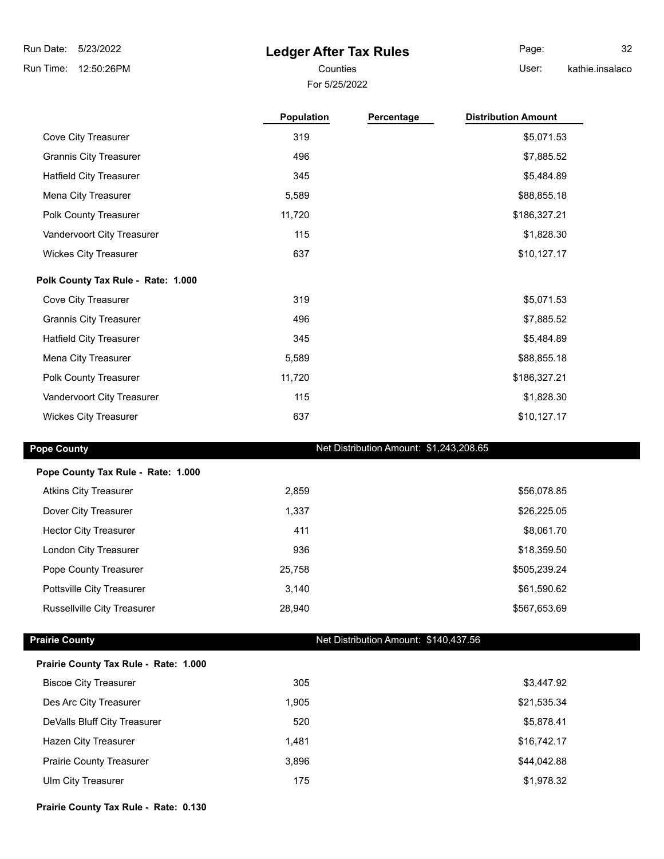### **Ledger After Tax Rules**

For 5/25/2022

Page: 32

Counties User:

kathie.insalaco

|                                    | <b>Population</b> | Percentage | <b>Distribution Amount</b> |
|------------------------------------|-------------------|------------|----------------------------|
| Cove City Treasurer                | 319               |            | \$5,071.53                 |
| <b>Grannis City Treasurer</b>      | 496               |            | \$7,885.52                 |
| <b>Hatfield City Treasurer</b>     | 345               |            | \$5,484.89                 |
| Mena City Treasurer                | 5,589             |            | \$88,855.18                |
| Polk County Treasurer              | 11,720            |            | \$186,327.21               |
| Vandervoort City Treasurer         | 115               |            | \$1,828.30                 |
| <b>Wickes City Treasurer</b>       | 637               |            | \$10,127.17                |
| Polk County Tax Rule - Rate: 1.000 |                   |            |                            |
| Cove City Treasurer                | 319               |            | \$5,071.53                 |
| <b>Grannis City Treasurer</b>      | 496               |            | \$7,885.52                 |
| <b>Hatfield City Treasurer</b>     | 345               |            | \$5,484.89                 |
| Mena City Treasurer                | 5,589             |            | \$88,855.18                |
| Polk County Treasurer              | 11,720            |            | \$186,327.21               |
| Vandervoort City Treasurer         | 115               |            | \$1,828.30                 |
| <b>Wickes City Treasurer</b>       | 637               |            | \$10,127.17                |

#### **Pope County Pope County Net Distribution Amount: \$1,243,208.65**

| Pope County Tax Rule - Rate: 1.000 |        |              |
|------------------------------------|--------|--------------|
| <b>Atkins City Treasurer</b>       | 2,859  | \$56,078.85  |
| Dover City Treasurer               | 1,337  | \$26,225.05  |
| <b>Hector City Treasurer</b>       | 411    | \$8,061.70   |
| London City Treasurer              | 936    | \$18,359.50  |
| Pope County Treasurer              | 25,758 | \$505,239.24 |
| Pottsville City Treasurer          | 3,140  | \$61,590.62  |
| <b>Russellville City Treasurer</b> | 28,940 | \$567,653.69 |

#### **Prairie County Prairie County Net Distribution Amount: \$140,437.56**

| Prairie County Tax Rule - Rate: 1.000 |  |  |  |
|---------------------------------------|--|--|--|
|---------------------------------------|--|--|--|

| <b>Biscoe City Treasurer</b>    | 305   | \$3,447.92  |
|---------------------------------|-------|-------------|
| Des Arc City Treasurer          | 1.905 | \$21,535.34 |
| DeValls Bluff City Treasurer    | 520   | \$5,878.41  |
| Hazen City Treasurer            | 1.481 | \$16,742.17 |
| <b>Prairie County Treasurer</b> | 3.896 | \$44,042.88 |
| Ulm City Treasurer              | 175   | \$1,978.32  |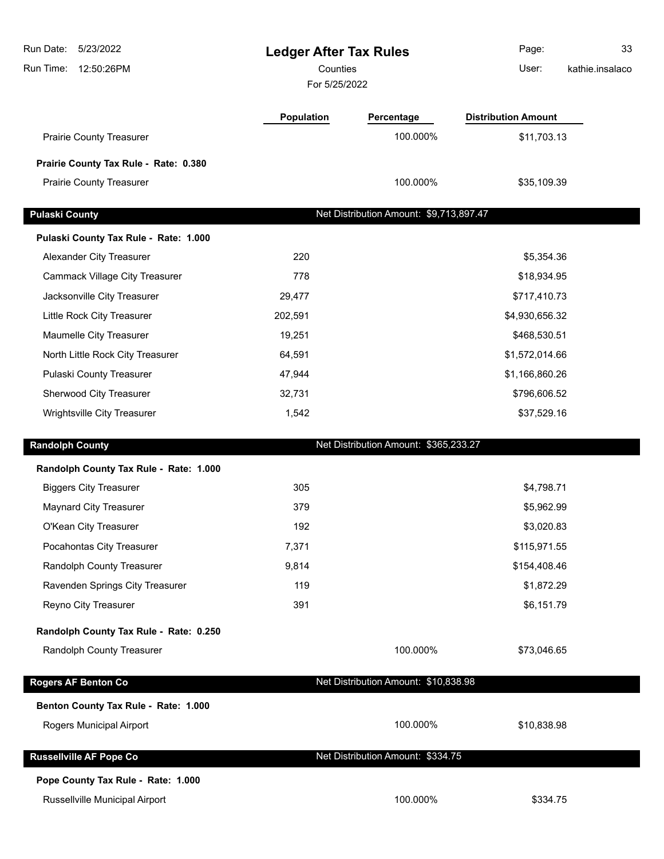| Run Date:<br>5/23/2022<br>12:50:26PM<br>Run Time: | <b>Ledger After Tax Rules</b><br>Counties<br>For 5/25/2022 |                                         | 33<br>Page:<br>User:<br>kathie.insalaco |  |
|---------------------------------------------------|------------------------------------------------------------|-----------------------------------------|-----------------------------------------|--|
|                                                   | Population                                                 | Percentage                              | <b>Distribution Amount</b>              |  |
| <b>Prairie County Treasurer</b>                   |                                                            | 100.000%                                | \$11,703.13                             |  |
| Prairie County Tax Rule - Rate: 0.380             |                                                            |                                         |                                         |  |
| <b>Prairie County Treasurer</b>                   |                                                            | 100.000%                                | \$35,109.39                             |  |
| <b>Pulaski County</b>                             |                                                            | Net Distribution Amount: \$9,713,897.47 |                                         |  |
| Pulaski County Tax Rule - Rate: 1.000             |                                                            |                                         |                                         |  |
| Alexander City Treasurer                          | 220                                                        |                                         | \$5,354.36                              |  |
| <b>Cammack Village City Treasurer</b>             | 778                                                        |                                         | \$18,934.95                             |  |
| Jacksonville City Treasurer                       | 29,477                                                     |                                         | \$717,410.73                            |  |
| Little Rock City Treasurer                        | 202,591                                                    |                                         | \$4,930,656.32                          |  |
| Maumelle City Treasurer                           | 19,251                                                     |                                         | \$468,530.51                            |  |
| North Little Rock City Treasurer                  | 64,591                                                     |                                         | \$1,572,014.66                          |  |
| Pulaski County Treasurer                          | 47,944                                                     |                                         | \$1,166,860.26                          |  |
| Sherwood City Treasurer                           | 32,731                                                     | \$796,606.52                            |                                         |  |
| Wrightsville City Treasurer                       | 1,542                                                      |                                         | \$37,529.16                             |  |
| <b>Randolph County</b>                            |                                                            | Net Distribution Amount: \$365,233.27   |                                         |  |
| Randolph County Tax Rule - Rate: 1.000            |                                                            |                                         |                                         |  |
| <b>Biggers City Treasurer</b>                     | 305                                                        |                                         | \$4,798.71                              |  |
| <b>Maynard City Treasurer</b>                     | 379                                                        |                                         | \$5,962.99                              |  |
| O'Kean City Treasurer                             | 192                                                        |                                         | \$3,020.83                              |  |
| Pocahontas City Treasurer                         | 7,371                                                      |                                         | \$115,971.55                            |  |
| Randolph County Treasurer                         | 9,814                                                      |                                         | \$154,408.46                            |  |
| Ravenden Springs City Treasurer                   | 119                                                        |                                         | \$1,872.29                              |  |
| Reyno City Treasurer                              | 391                                                        |                                         | \$6,151.79                              |  |
| Randolph County Tax Rule - Rate: 0.250            |                                                            |                                         |                                         |  |
| Randolph County Treasurer                         |                                                            | 100.000%                                | \$73,046.65                             |  |
| <b>Rogers AF Benton Co</b>                        |                                                            | Net Distribution Amount: \$10,838.98    |                                         |  |
| Benton County Tax Rule - Rate: 1.000              |                                                            |                                         |                                         |  |
| Rogers Municipal Airport                          |                                                            | 100.000%                                | \$10,838.98                             |  |
| <b>Russellville AF Pope Co</b>                    |                                                            | Net Distribution Amount: \$334.75       |                                         |  |
| Pope County Tax Rule - Rate: 1.000                |                                                            |                                         |                                         |  |
| Russellville Municipal Airport                    |                                                            | 100.000%                                | \$334.75                                |  |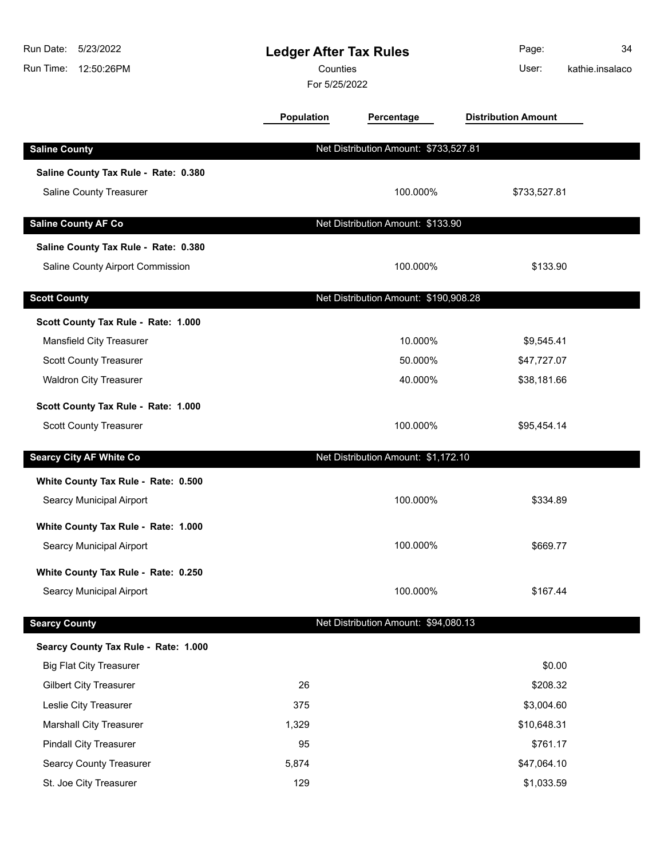| 5/23/2022<br>Run Date:<br>Run Time:<br>12:50:26PM | <b>Ledger After Tax Rules</b><br>Counties<br>For 5/25/2022 |                                       | Page:<br>User:             | 34<br>kathie.insalaco |
|---------------------------------------------------|------------------------------------------------------------|---------------------------------------|----------------------------|-----------------------|
|                                                   | <b>Population</b>                                          | Percentage                            | <b>Distribution Amount</b> |                       |
| <b>Saline County</b>                              |                                                            | Net Distribution Amount: \$733,527.81 |                            |                       |
| Saline County Tax Rule - Rate: 0.380              |                                                            |                                       |                            |                       |
| Saline County Treasurer                           |                                                            | 100.000%                              | \$733,527.81               |                       |
| <b>Saline County AF Co</b>                        |                                                            | Net Distribution Amount: \$133.90     |                            |                       |
| Saline County Tax Rule - Rate: 0.380              |                                                            |                                       |                            |                       |
| Saline County Airport Commission                  |                                                            | 100.000%                              | \$133.90                   |                       |
| <b>Scott County</b>                               |                                                            | Net Distribution Amount: \$190,908.28 |                            |                       |
| Scott County Tax Rule - Rate: 1.000               |                                                            |                                       |                            |                       |
| Mansfield City Treasurer                          |                                                            | 10.000%                               | \$9,545.41                 |                       |
| Scott County Treasurer                            |                                                            | 50.000%                               | \$47,727.07                |                       |
| <b>Waldron City Treasurer</b>                     |                                                            | 40.000%                               | \$38,181.66                |                       |
| Scott County Tax Rule - Rate: 1.000               |                                                            |                                       |                            |                       |
| Scott County Treasurer                            |                                                            | 100.000%                              | \$95,454.14                |                       |
| <b>Searcy City AF White Co</b>                    |                                                            | Net Distribution Amount: \$1,172.10   |                            |                       |
| White County Tax Rule - Rate: 0.500               |                                                            |                                       |                            |                       |
| Searcy Municipal Airport                          |                                                            | 100.000%                              | \$334.89                   |                       |
| White County Tax Rule - Rate: 1.000               |                                                            |                                       |                            |                       |
| Searcy Municipal Airport                          |                                                            | 100.000%                              | \$669.77                   |                       |
| White County Tax Rule - Rate: 0.250               |                                                            |                                       |                            |                       |
| Searcy Municipal Airport                          |                                                            | 100.000%                              | \$167.44                   |                       |
| <b>Searcy County</b>                              |                                                            | Net Distribution Amount: \$94,080.13  |                            |                       |
| Searcy County Tax Rule - Rate: 1.000              |                                                            |                                       |                            |                       |
| <b>Big Flat City Treasurer</b>                    |                                                            |                                       | \$0.00                     |                       |
| <b>Gilbert City Treasurer</b>                     | 26                                                         |                                       | \$208.32                   |                       |
| Leslie City Treasurer                             | 375                                                        |                                       | \$3,004.60                 |                       |
| <b>Marshall City Treasurer</b>                    | 1,329                                                      |                                       | \$10,648.31                |                       |
| <b>Pindall City Treasurer</b>                     | 95                                                         |                                       | \$761.17                   |                       |
| <b>Searcy County Treasurer</b>                    | 5,874                                                      |                                       | \$47,064.10                |                       |
| St. Joe City Treasurer                            | 129                                                        |                                       | \$1,033.59                 |                       |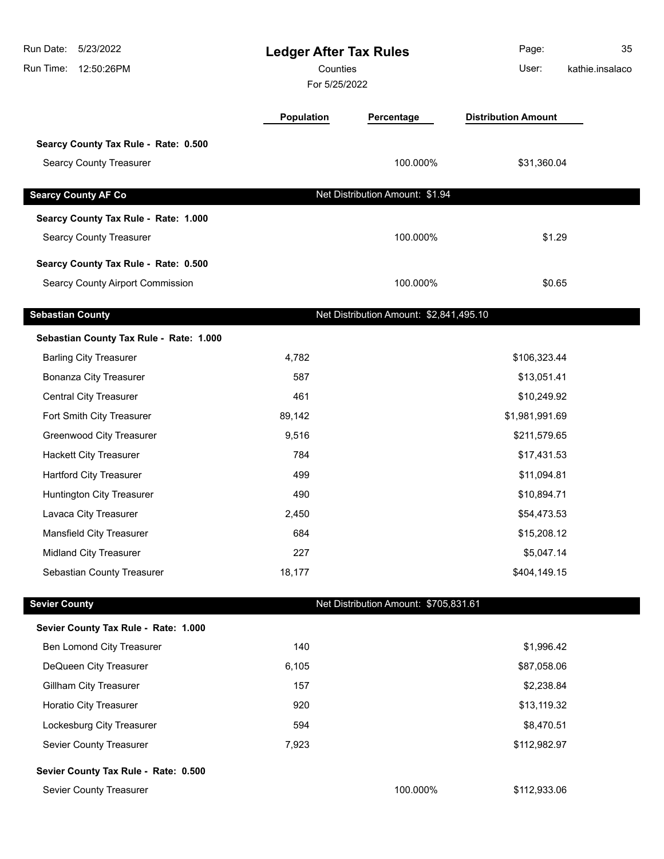| Run Date:<br>5/23/2022<br>Run Time:<br>12:50:26PM | <b>Ledger After Tax Rules</b><br>Counties<br>For 5/25/2022 |                                         | Page:<br>User:             | 35<br>kathie.insalaco |
|---------------------------------------------------|------------------------------------------------------------|-----------------------------------------|----------------------------|-----------------------|
|                                                   | Population                                                 | Percentage                              | <b>Distribution Amount</b> |                       |
| Searcy County Tax Rule - Rate: 0.500              |                                                            |                                         |                            |                       |
| <b>Searcy County Treasurer</b>                    |                                                            | 100.000%                                | \$31,360.04                |                       |
|                                                   |                                                            |                                         |                            |                       |
| <b>Searcy County AF Co</b>                        |                                                            | Net Distribution Amount: \$1.94         |                            |                       |
| Searcy County Tax Rule - Rate: 1.000              |                                                            |                                         |                            |                       |
| <b>Searcy County Treasurer</b>                    |                                                            | 100.000%                                | \$1.29                     |                       |
| Searcy County Tax Rule - Rate: 0.500              |                                                            |                                         |                            |                       |
| <b>Searcy County Airport Commission</b>           |                                                            | 100.000%                                | \$0.65                     |                       |
| <b>Sebastian County</b>                           |                                                            | Net Distribution Amount: \$2,841,495.10 |                            |                       |
| Sebastian County Tax Rule - Rate: 1.000           |                                                            |                                         |                            |                       |
| <b>Barling City Treasurer</b>                     | 4,782                                                      |                                         | \$106,323.44               |                       |
| <b>Bonanza City Treasurer</b>                     | 587                                                        |                                         | \$13,051.41                |                       |
| <b>Central City Treasurer</b>                     | 461                                                        | \$10,249.92                             |                            |                       |
| Fort Smith City Treasurer                         | 89,142                                                     | \$1,981,991.69                          |                            |                       |
| <b>Greenwood City Treasurer</b>                   | 9,516                                                      | \$211,579.65                            |                            |                       |
| <b>Hackett City Treasurer</b>                     | 784                                                        | \$17,431.53                             |                            |                       |
| <b>Hartford City Treasurer</b>                    | 499                                                        |                                         | \$11,094.81                |                       |
| Huntington City Treasurer                         | 490                                                        |                                         | \$10,894.71                |                       |
| Lavaca City Treasurer                             | 2,450                                                      |                                         | \$54,473.53                |                       |
| Mansfield City Treasurer                          | 684                                                        |                                         | \$15,208.12                |                       |
| Midland City Treasurer                            | 227                                                        |                                         | \$5,047.14                 |                       |
| Sebastian County Treasurer                        | 18,177                                                     |                                         | \$404,149.15               |                       |
| <b>Sevier County</b>                              |                                                            | Net Distribution Amount: \$705,831.61   |                            |                       |
| Sevier County Tax Rule - Rate: 1.000              |                                                            |                                         |                            |                       |
| Ben Lomond City Treasurer                         | 140                                                        |                                         | \$1,996.42                 |                       |
| DeQueen City Treasurer                            | 6,105                                                      |                                         | \$87,058.06                |                       |
| <b>Gillham City Treasurer</b>                     | 157                                                        |                                         | \$2,238.84                 |                       |
| Horatio City Treasurer                            | 920                                                        |                                         | \$13,119.32                |                       |
| Lockesburg City Treasurer                         | 594                                                        |                                         | \$8,470.51                 |                       |
| Sevier County Treasurer                           | 7,923                                                      |                                         | \$112,982.97               |                       |
| Sevier County Tax Rule - Rate: 0.500              |                                                            |                                         |                            |                       |
| Sevier County Treasurer                           |                                                            | 100.000%                                | \$112,933.06               |                       |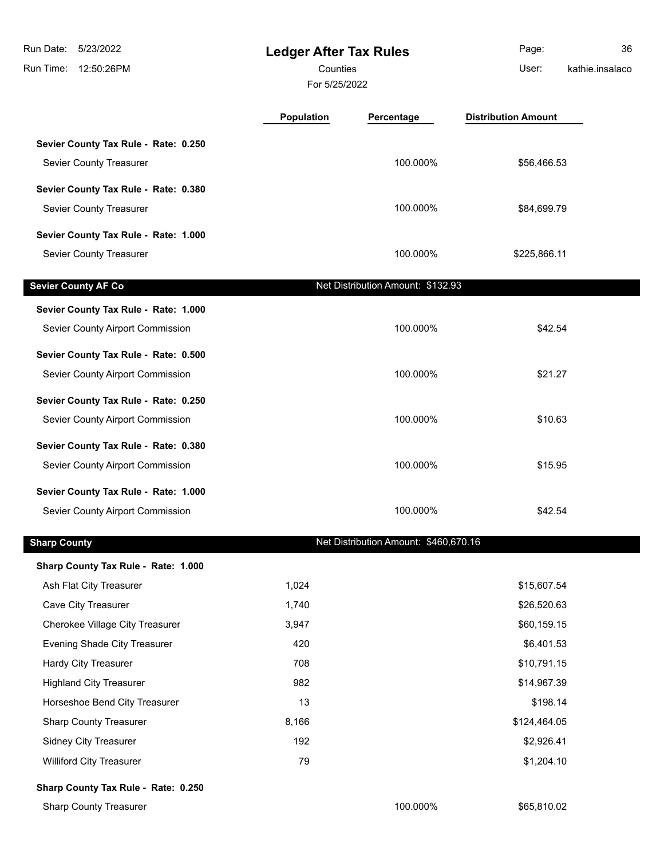| Run Date:<br>5/23/2022<br>Run Time:<br>12:50:26PM | <b>Ledger After Tax Rules</b><br>Counties<br>For 5/25/2022 |                                       | Page:<br>User:             | 36<br>kathie.insalaco |
|---------------------------------------------------|------------------------------------------------------------|---------------------------------------|----------------------------|-----------------------|
|                                                   | <b>Population</b>                                          | Percentage                            | <b>Distribution Amount</b> |                       |
| Sevier County Tax Rule - Rate: 0.250              |                                                            |                                       |                            |                       |
| Sevier County Treasurer                           |                                                            | 100.000%                              | \$56,466.53                |                       |
| Sevier County Tax Rule - Rate: 0.380              |                                                            |                                       |                            |                       |
| Sevier County Treasurer                           |                                                            | 100.000%                              | \$84,699.79                |                       |
|                                                   |                                                            |                                       |                            |                       |
| Sevier County Tax Rule - Rate: 1.000              |                                                            |                                       |                            |                       |
| Sevier County Treasurer                           |                                                            | 100.000%                              | \$225,866.11               |                       |
| <b>Sevier County AF Co</b>                        |                                                            | Net Distribution Amount: \$132.93     |                            |                       |
| Sevier County Tax Rule - Rate: 1.000              |                                                            |                                       |                            |                       |
| Sevier County Airport Commission                  |                                                            | 100.000%                              | \$42.54                    |                       |
| Sevier County Tax Rule - Rate: 0.500              |                                                            |                                       |                            |                       |
| Sevier County Airport Commission                  |                                                            | 100.000%                              | \$21.27                    |                       |
|                                                   |                                                            |                                       |                            |                       |
| Sevier County Tax Rule - Rate: 0.250              |                                                            |                                       |                            |                       |
| Sevier County Airport Commission                  |                                                            | 100.000%                              | \$10.63                    |                       |
| Sevier County Tax Rule - Rate: 0.380              |                                                            |                                       |                            |                       |
| Sevier County Airport Commission                  |                                                            | 100.000%                              | \$15.95                    |                       |
| Sevier County Tax Rule - Rate: 1.000              |                                                            |                                       |                            |                       |
| Sevier County Airport Commission                  |                                                            | 100.000%                              | \$42.54                    |                       |
| <b>Sharp County</b>                               |                                                            | Net Distribution Amount: \$460,670.16 |                            |                       |
|                                                   |                                                            |                                       |                            |                       |
| Sharp County Tax Rule - Rate: 1.000               |                                                            |                                       |                            |                       |
| Ash Flat City Treasurer<br>Cave City Treasurer    | 1,024<br>1,740                                             |                                       | \$15,607.54<br>\$26,520.63 |                       |
| Cherokee Village City Treasurer                   | 3,947                                                      |                                       | \$60,159.15                |                       |
| Evening Shade City Treasurer                      | 420                                                        |                                       | \$6,401.53                 |                       |
| <b>Hardy City Treasurer</b>                       | 708                                                        |                                       | \$10,791.15                |                       |
| <b>Highland City Treasurer</b>                    | 982                                                        |                                       | \$14,967.39                |                       |
| Horseshoe Bend City Treasurer                     | 13                                                         |                                       | \$198.14                   |                       |
| <b>Sharp County Treasurer</b>                     | 8,166                                                      |                                       | \$124,464.05               |                       |
| <b>Sidney City Treasurer</b>                      | 192                                                        |                                       | \$2,926.41                 |                       |
| <b>Williford City Treasurer</b>                   | 79                                                         |                                       | \$1,204.10                 |                       |
| Sharp County Tax Rule - Rate: 0.250               |                                                            |                                       |                            |                       |
| <b>Sharp County Treasurer</b>                     |                                                            | 100.000%                              | \$65,810.02                |                       |
|                                                   |                                                            |                                       |                            |                       |

ı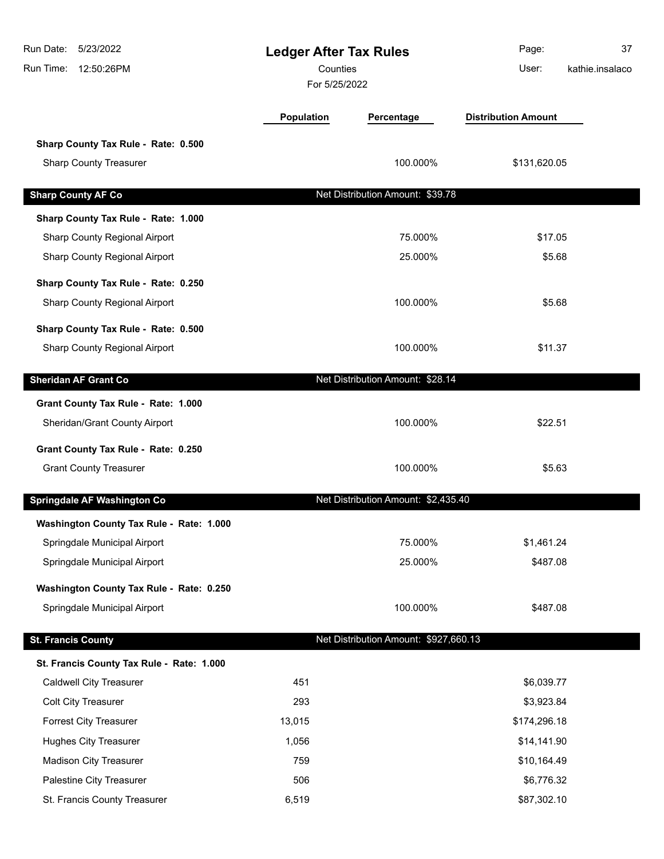| Run Date:<br>5/23/2022<br>Run Time:<br>12:50:26PM | <b>Ledger After Tax Rules</b><br>Counties<br>For 5/25/2022 |                                       | Page:<br>User:             | 37<br>kathie.insalaco |
|---------------------------------------------------|------------------------------------------------------------|---------------------------------------|----------------------------|-----------------------|
|                                                   | <b>Population</b>                                          | Percentage                            | <b>Distribution Amount</b> |                       |
| Sharp County Tax Rule - Rate: 0.500               |                                                            |                                       |                            |                       |
| <b>Sharp County Treasurer</b>                     |                                                            | 100.000%                              | \$131,620.05               |                       |
| <b>Sharp County AF Co</b>                         |                                                            | Net Distribution Amount: \$39.78      |                            |                       |
| Sharp County Tax Rule - Rate: 1.000               |                                                            |                                       |                            |                       |
| Sharp County Regional Airport                     |                                                            | 75.000%                               | \$17.05                    |                       |
| Sharp County Regional Airport                     |                                                            | 25.000%                               | \$5.68                     |                       |
| Sharp County Tax Rule - Rate: 0.250               |                                                            |                                       |                            |                       |
| Sharp County Regional Airport                     |                                                            | 100.000%                              | \$5.68                     |                       |
| Sharp County Tax Rule - Rate: 0.500               |                                                            |                                       |                            |                       |
| Sharp County Regional Airport                     |                                                            | 100.000%                              | \$11.37                    |                       |
| <b>Sheridan AF Grant Co</b>                       |                                                            | Net Distribution Amount: \$28.14      |                            |                       |
| Grant County Tax Rule - Rate: 1.000               |                                                            |                                       |                            |                       |
| Sheridan/Grant County Airport                     |                                                            | 100.000%                              | \$22.51                    |                       |
| Grant County Tax Rule - Rate: 0.250               |                                                            |                                       |                            |                       |
| <b>Grant County Treasurer</b>                     |                                                            | 100.000%                              | \$5.63                     |                       |
| Springdale AF Washington Co                       |                                                            | Net Distribution Amount: \$2,435.40   |                            |                       |
| Washington County Tax Rule - Rate: 1.000          |                                                            |                                       |                            |                       |
| Springdale Municipal Airport                      |                                                            | 75.000%                               | \$1,461.24                 |                       |
| Springdale Municipal Airport                      |                                                            | 25.000%                               | \$487.08                   |                       |
| Washington County Tax Rule - Rate: 0.250          |                                                            |                                       |                            |                       |
| Springdale Municipal Airport                      |                                                            | 100.000%                              | \$487.08                   |                       |
| <b>St. Francis County</b>                         |                                                            | Net Distribution Amount: \$927,660.13 |                            |                       |
| St. Francis County Tax Rule - Rate: 1.000         |                                                            |                                       |                            |                       |
| <b>Caldwell City Treasurer</b>                    | 451                                                        |                                       | \$6,039.77                 |                       |
| <b>Colt City Treasurer</b>                        | 293                                                        |                                       | \$3,923.84                 |                       |
| <b>Forrest City Treasurer</b>                     | 13,015                                                     |                                       | \$174,296.18               |                       |
| <b>Hughes City Treasurer</b>                      | 1,056                                                      |                                       | \$14,141.90                |                       |
| <b>Madison City Treasurer</b>                     | 759                                                        |                                       | \$10,164.49                |                       |
| Palestine City Treasurer                          | 506                                                        |                                       | \$6,776.32                 |                       |
| St. Francis County Treasurer                      | 6,519                                                      |                                       | \$87,302.10                |                       |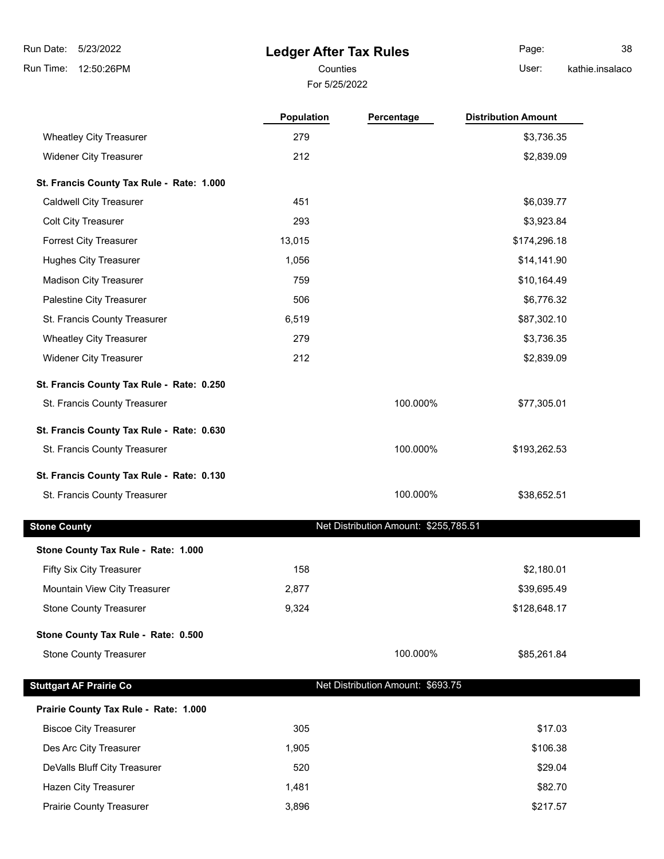5/23/2022 Run Date:

Run Time: 12:50:26PM

# **Ledger After Tax Rules**

For 5/25/2022 Counties **Counties** User:

Page: 38 kathie.insalaco

|                                           | <b>Population</b> | Percentage                            | <b>Distribution Amount</b> |
|-------------------------------------------|-------------------|---------------------------------------|----------------------------|
| <b>Wheatley City Treasurer</b>            | 279               |                                       | \$3,736.35                 |
| <b>Widener City Treasurer</b>             | 212               |                                       | \$2,839.09                 |
| St. Francis County Tax Rule - Rate: 1.000 |                   |                                       |                            |
| <b>Caldwell City Treasurer</b>            | 451               |                                       | \$6,039.77                 |
| <b>Colt City Treasurer</b>                | 293               |                                       | \$3,923.84                 |
| Forrest City Treasurer                    | 13,015            |                                       | \$174,296.18               |
| <b>Hughes City Treasurer</b>              | 1,056             |                                       | \$14,141.90                |
| <b>Madison City Treasurer</b>             | 759               |                                       | \$10,164.49                |
| Palestine City Treasurer                  | 506               |                                       | \$6,776.32                 |
| St. Francis County Treasurer              | 6,519             |                                       | \$87,302.10                |
| <b>Wheatley City Treasurer</b>            | 279               |                                       | \$3,736.35                 |
| <b>Widener City Treasurer</b>             | 212               |                                       | \$2,839.09                 |
| St. Francis County Tax Rule - Rate: 0.250 |                   |                                       |                            |
| St. Francis County Treasurer              |                   | 100.000%                              | \$77,305.01                |
| St. Francis County Tax Rule - Rate: 0.630 |                   |                                       |                            |
| St. Francis County Treasurer              |                   | 100.000%                              | \$193,262.53               |
| St. Francis County Tax Rule - Rate: 0.130 |                   |                                       |                            |
| St. Francis County Treasurer              |                   | 100.000%                              | \$38,652.51                |
| <b>Stone County</b>                       |                   | Net Distribution Amount: \$255,785.51 |                            |
| Stone County Tax Rule - Rate: 1.000       |                   |                                       |                            |
| Fifty Six City Treasurer                  | 158               |                                       | \$2,180.01                 |
| <b>Mountain View City Treasurer</b>       | 2,877             |                                       | \$39,695.49                |
| <b>Stone County Treasurer</b>             | 9,324             |                                       | \$128,648.17               |
| Stone County Tax Rule - Rate: 0.500       |                   |                                       |                            |
| <b>Stone County Treasurer</b>             |                   | 100.000%                              | \$85,261.84                |
| <b>Stuttgart AF Prairie Co</b>            |                   | Net Distribution Amount: \$693.75     |                            |
| Prairie County Tax Rule - Rate: 1.000     |                   |                                       |                            |
| <b>Biscoe City Treasurer</b>              | 305               |                                       | \$17.03                    |
| Des Arc City Treasurer                    | 1,905             |                                       | \$106.38                   |
| DeValls Bluff City Treasurer              | 520               |                                       | \$29.04                    |
| Hazen City Treasurer                      | 1,481             |                                       | \$82.70                    |
| Prairie County Treasurer                  | 3,896             |                                       | \$217.57                   |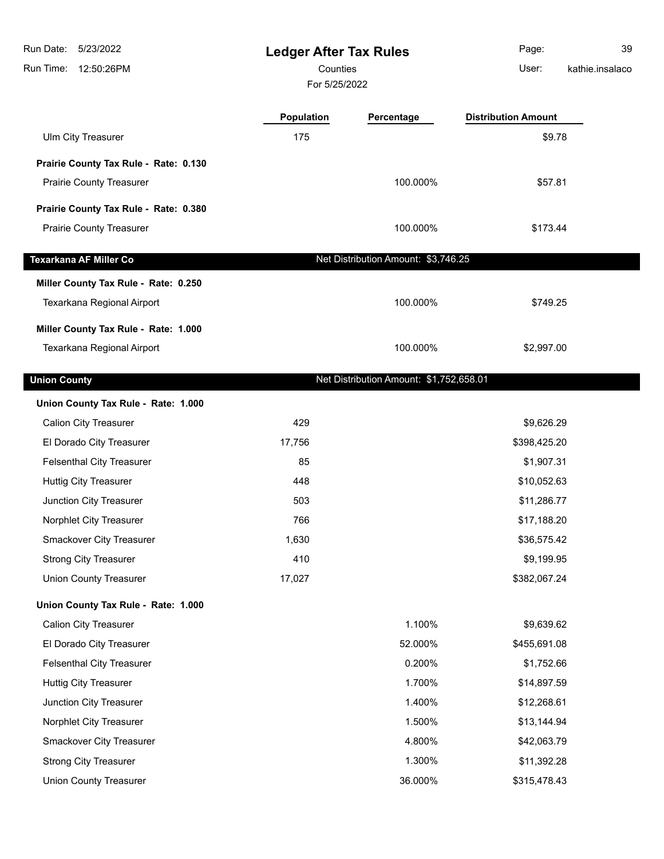| Run Date:<br>5/23/2022<br>Run Time: 12:50:26PM | <b>Ledger After Tax Rules</b><br>Counties<br>For 5/25/2022 |                                         | Page:<br>User:             | 39<br>kathie.insalaco |
|------------------------------------------------|------------------------------------------------------------|-----------------------------------------|----------------------------|-----------------------|
|                                                | Population                                                 | Percentage                              | <b>Distribution Amount</b> |                       |
| Ulm City Treasurer                             | 175                                                        |                                         | \$9.78                     |                       |
| Prairie County Tax Rule - Rate: 0.130          |                                                            |                                         |                            |                       |
| <b>Prairie County Treasurer</b>                |                                                            | 100.000%                                | \$57.81                    |                       |
| Prairie County Tax Rule - Rate: 0.380          |                                                            |                                         |                            |                       |
| <b>Prairie County Treasurer</b>                |                                                            | 100.000%                                | \$173.44                   |                       |
| <b>Texarkana AF Miller Co</b>                  |                                                            | Net Distribution Amount: \$3,746.25     |                            |                       |
| Miller County Tax Rule - Rate: 0.250           |                                                            |                                         |                            |                       |
| Texarkana Regional Airport                     |                                                            | 100.000%                                | \$749.25                   |                       |
| Miller County Tax Rule - Rate: 1.000           |                                                            |                                         |                            |                       |
| Texarkana Regional Airport                     |                                                            | 100.000%                                | \$2,997.00                 |                       |
|                                                |                                                            |                                         |                            |                       |
| <b>Union County</b>                            |                                                            | Net Distribution Amount: \$1,752,658.01 |                            |                       |
| Union County Tax Rule - Rate: 1.000            |                                                            |                                         |                            |                       |
| <b>Calion City Treasurer</b>                   | 429                                                        |                                         | \$9,626.29                 |                       |
| El Dorado City Treasurer                       | 17,756                                                     |                                         | \$398,425.20               |                       |
| <b>Felsenthal City Treasurer</b>               | 85                                                         |                                         | \$1,907.31                 |                       |
| <b>Huttig City Treasurer</b>                   | 448                                                        |                                         | \$10,052.63                |                       |
| Junction City Treasurer                        | 503                                                        |                                         | \$11,286.77                |                       |
| Norphlet City Treasurer                        | 766                                                        |                                         | \$17,188.20                |                       |
| Smackover City Treasurer                       | 1,630                                                      |                                         | \$36,575.42                |                       |
| <b>Strong City Treasurer</b>                   | 410                                                        |                                         | \$9,199.95                 |                       |
| <b>Union County Treasurer</b>                  | 17,027                                                     |                                         | \$382,067.24               |                       |
| Union County Tax Rule - Rate: 1.000            |                                                            |                                         |                            |                       |
| <b>Calion City Treasurer</b>                   |                                                            | 1.100%                                  | \$9,639.62                 |                       |
| El Dorado City Treasurer                       |                                                            | 52.000%                                 | \$455,691.08               |                       |
| <b>Felsenthal City Treasurer</b>               |                                                            | 0.200%                                  | \$1,752.66                 |                       |
| <b>Huttig City Treasurer</b>                   |                                                            | 1.700%                                  | \$14,897.59                |                       |
| Junction City Treasurer                        |                                                            | 1.400%                                  | \$12,268.61                |                       |
| Norphlet City Treasurer                        |                                                            | 1.500%                                  | \$13,144.94                |                       |
| Smackover City Treasurer                       |                                                            | 4.800%                                  | \$42,063.79                |                       |
| <b>Strong City Treasurer</b>                   |                                                            | 1.300%                                  | \$11,392.28                |                       |
| <b>Union County Treasurer</b>                  |                                                            | 36.000%                                 | \$315,478.43               |                       |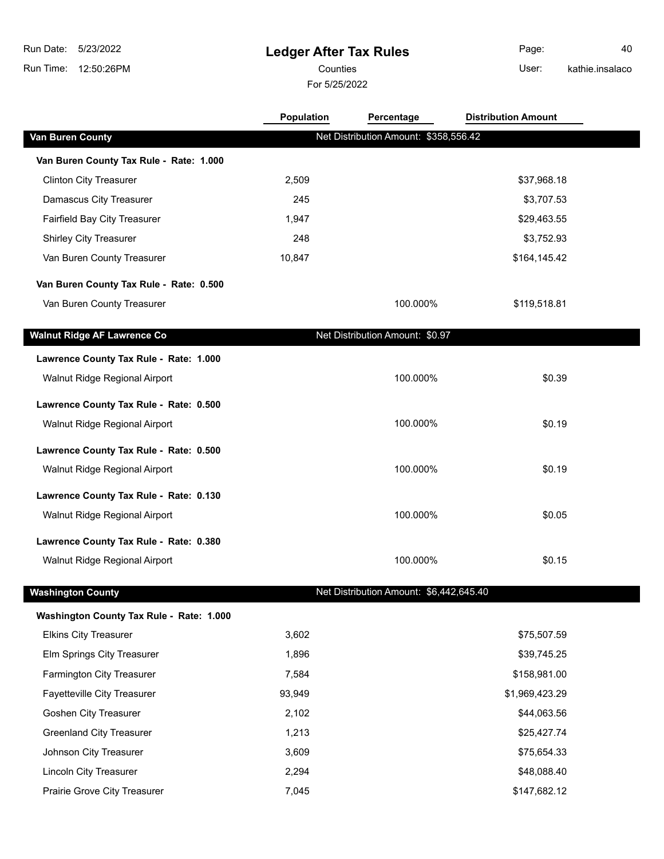# **Ledger After Tax Rules**

For 5/25/2022

Counties User: Page: 40

kathie.insalaco

|                                          | <b>Population</b> | Percentage                              | <b>Distribution Amount</b> |  |
|------------------------------------------|-------------------|-----------------------------------------|----------------------------|--|
| <b>Van Buren County</b>                  |                   | Net Distribution Amount: \$358,556.42   |                            |  |
| Van Buren County Tax Rule - Rate: 1.000  |                   |                                         |                            |  |
| <b>Clinton City Treasurer</b>            | 2,509             |                                         | \$37,968.18                |  |
| Damascus City Treasurer                  | 245               |                                         | \$3,707.53                 |  |
| Fairfield Bay City Treasurer             | 1,947             |                                         | \$29,463.55                |  |
| <b>Shirley City Treasurer</b>            | 248               |                                         | \$3,752.93                 |  |
| Van Buren County Treasurer               | 10,847            |                                         | \$164,145.42               |  |
| Van Buren County Tax Rule - Rate: 0.500  |                   |                                         |                            |  |
| Van Buren County Treasurer               |                   | 100.000%                                | \$119,518.81               |  |
| <b>Walnut Ridge AF Lawrence Co</b>       |                   | Net Distribution Amount: \$0.97         |                            |  |
| Lawrence County Tax Rule - Rate: 1.000   |                   |                                         |                            |  |
| Walnut Ridge Regional Airport            |                   | 100.000%                                | \$0.39                     |  |
| Lawrence County Tax Rule - Rate: 0.500   |                   |                                         |                            |  |
| Walnut Ridge Regional Airport            |                   | 100.000%                                | \$0.19                     |  |
| Lawrence County Tax Rule - Rate: 0.500   |                   |                                         |                            |  |
| Walnut Ridge Regional Airport            |                   | 100.000%                                | \$0.19                     |  |
| Lawrence County Tax Rule - Rate: 0.130   |                   |                                         |                            |  |
| Walnut Ridge Regional Airport            |                   | 100.000%                                | \$0.05                     |  |
| Lawrence County Tax Rule - Rate: 0.380   |                   |                                         |                            |  |
| Walnut Ridge Regional Airport            |                   | 100.000%                                | \$0.15                     |  |
| <b>Washington County</b>                 |                   | Net Distribution Amount: \$6,442,645.40 |                            |  |
| Washington County Tax Rule - Rate: 1.000 |                   |                                         |                            |  |
| <b>Elkins City Treasurer</b>             | 3,602             |                                         | \$75,507.59                |  |
| Elm Springs City Treasurer               | 1,896             |                                         | \$39,745.25                |  |
| <b>Farmington City Treasurer</b>         | 7,584             |                                         | \$158,981.00               |  |
| Fayetteville City Treasurer              | 93,949            |                                         | \$1,969,423.29             |  |
| Goshen City Treasurer                    | 2,102             |                                         | \$44,063.56                |  |
| <b>Greenland City Treasurer</b>          | 1,213             |                                         | \$25,427.74                |  |
| Johnson City Treasurer                   | 3,609             |                                         | \$75,654.33                |  |
| <b>Lincoln City Treasurer</b>            | 2,294             |                                         | \$48,088.40                |  |
| Prairie Grove City Treasurer             | 7,045             |                                         | \$147,682.12               |  |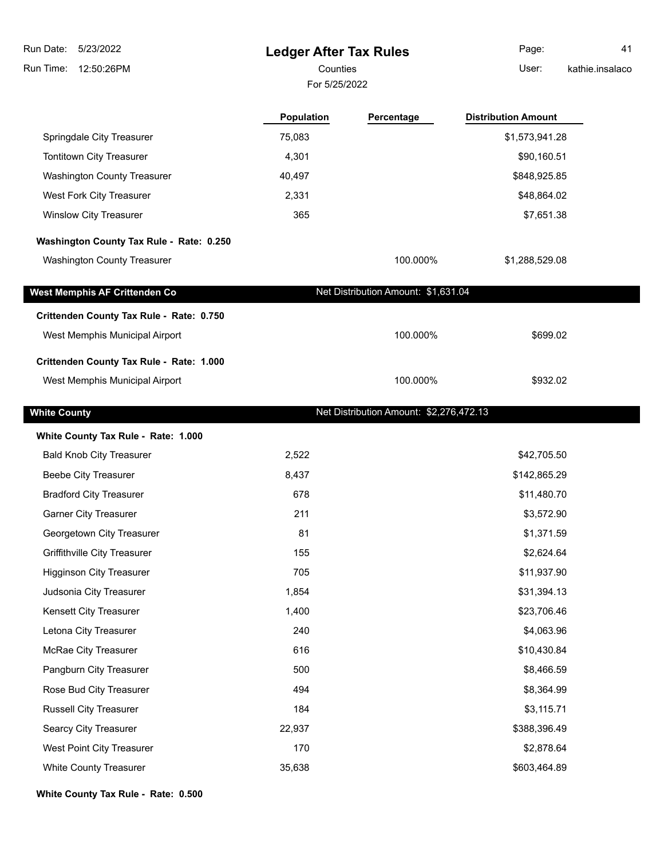**Ledger After Tax Rules** Run Time: 12:50:26PM 5/23/2022 Run Date: For 5/25/2022 Counties **Counties** User: Page: 41 kathie.insalaco **Population Percentage Distribution Amount** Springdale City Treasurer 1990 1990 1991 128 to 2012 15,083 \$1,573,941.28 Tontitown City Treasurer 1.1 and 1.301 \$90,160.51 Washington County Treasurer 40,497 \$848,925.85 West Fork City Treasurer 1988 102 and 2,331 1999 10:30 and 2,331 1999 10:48,864.02 Winslow City Treasurer 2008 and the control of the control of the 365  $\text{F},651.38$ **Washington County Tax Rule - Rate: 0.250** Washington County Treasurer 100.000% \$1,288,529.08 **West Memphis AF Crittenden Co** Net Distribution Amount: \$1,631.04 **Crittenden County Tax Rule - Rate: 0.750** West Memphis Municipal Airport **100.000%** \$699.02 **Crittenden County Tax Rule - Rate: 1.000** West Memphis Municipal Airport **100.000%** \$932.02 **White County Net Distribution Amount: \$2,276,472.13 White County Tax Rule - Rate: 1.000** Bald Knob City Treasurer 2,522 \$42,705.50 Beebe City Treasurer 6,437 \$142,865.29 Bradford City Treasurer **678** \$11,480.70 Garner City Treasurer **211 33,572.90 33,572.90 33,572.90** Georgetown City Treasurer 81 \$1,371.59 \$1,371.59 Griffithville City Treasurer 155 **\$2,624.64 \$2,624.64** Higginson City Treasurer 1988 and the control of the 1990 and the 1990 and the 1990 and the 1990 and the 1990  $\frac{1}{311,937.90}$ Judsonia City Treasurer 1,854 \$31,394.13 Kensett City Treasurer 1,400 **\$23,706.46** \$23,706.46 Letona City Treasurer 240 \$4,063.96 McRae City Treasurer 1988 10.430.84 Pangburn City Treasurer 500 \$8,466.59 Rose Bud City Treasurer 494 \$8,364.99 Russell City Treasurer 184 **184** \$3,115.71 Searcy City Treasurer 22,937 \$388,396.49 \$388,396.49 West Point City Treasurer 170 **170 170 170 170 170 170 170 170 170 170 120 120 120 120 120 120 120 120 120 120 120 120 120 120 120 120 120 120 120 120 120 120** White County Treasurer 1980 and the county Treasurer 1980 and the state of the 35,638 \$603,464.89 \$603,464.89